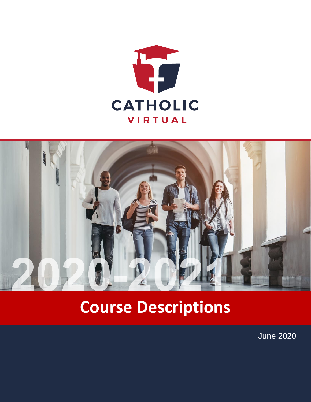



# **Course Descriptions**

June 2020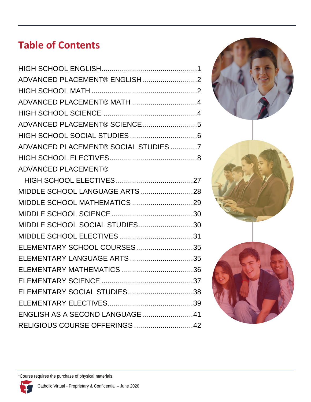# **Table of Contents**

| ADVANCED PLACEMENT® ENGLISH2         |  |
|--------------------------------------|--|
|                                      |  |
|                                      |  |
|                                      |  |
| ADVANCED PLACEMENT® SCIENCE5         |  |
|                                      |  |
| ADVANCED PLACEMENT® SOCIAL STUDIES 7 |  |
|                                      |  |
| <b>ADVANCED PLACEMENT®</b>           |  |
|                                      |  |
| MIDDLE SCHOOL LANGUAGE ARTS28        |  |
|                                      |  |
|                                      |  |
| MIDDLE SCHOOL SOCIAL STUDIES30       |  |
|                                      |  |
| ELEMENTARY SCHOOL COURSES35          |  |
| ELEMENTARY LANGUAGE ARTS 35          |  |
| ELEMENTARY MATHEMATICS 36            |  |
|                                      |  |
| ELEMENTARY SOCIAL STUDIES38          |  |
|                                      |  |
| ENGLISH AS A SECOND LANGUAGE41       |  |
| RELIGIOUS COURSE OFFERINGS 42        |  |



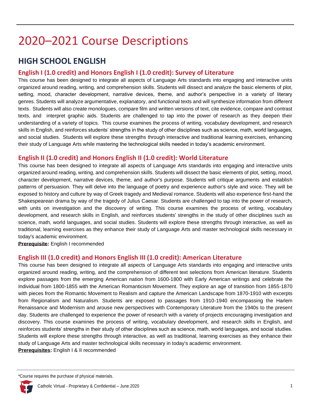# 2020–2021 Course Descriptions

# <span id="page-2-0"></span>**HIGH SCHOOL ENGLISH**

# **English I (1.0 credit) and Honors English I (1.0 credit): Survey of Literature**

This course has been designed to integrate all aspects of Language Arts standards into engaging and interactive units organized around reading, writing, and comprehension skills. Students will dissect and analyze the basic elements of plot, setting, mood, character development, narrative devices, theme, and author's perspective in a variety of literary genres. Students will analyze argumentative, explanatory, and functional texts and will synthesize information from different texts. Students will also create monologues, compare film and written versions of text, cite evidence, compare and contrast texts, and interpret graphic aids. Students are challenged to tap into the power of research as they deepen their understanding of a variety of topics. This course examines the process of writing, vocabulary development, and research skills in English, and reinforces students' strengths in the study of other disciplines such as science, math, world languages, and social studies. Students will explore these strengths through interactive and traditional learning exercises, enhancing their study of Language Arts while mastering the technological skills needed in today's academic environment.

### **English II (1.0 credit) and Honors English II (1.0 credit): World Literature**

This course has been designed to integrate all aspects of Language Arts standards into engaging and interactive units organized around reading, writing, and comprehension skills. Students will dissect the basic elements of plot, setting, mood, character development, narrative devices, theme, and author's purpose. Students will critique arguments and establish patterns of persuasion. They will delve into the language of poetry and experience author's style and voice. They will be exposed to history and culture by way of Greek tragedy and Medieval romance. Students will also experience first-hand the Shakespearean drama by way of the tragedy of Julius Caesar. Students are challenged to tap into the power of research, with units on investigation and the discovery of writing. This course examines the process of writing, vocabulary development, and research skills in English, and reinforces students' strengths in the study of other disciplines such as science, math, world languages, and social studies. Students will explore these strengths through interactive, as well as traditional, learning exercises as they enhance their study of Language Arts and master technological skills necessary in today's academic environment.

**Prerequisite:** English I recommended

# **English III (1.0 credit) and Honors English III (1.0 credit): American Literature**

This course has been designed to integrate all aspects of Language Arts standards into engaging and interactive units organized around reading, writing, and the comprehension of different text selections from American literature. Students explore passages from the emerging American nation from 1600-1800 with Early American writings and celebrate the Individual from 1800-1855 with the American Romanticism Movement. They explore an age of transition from 1855-1870 with pieces from the Romantic Movement to Realism and capture the American Landscape from 1870-1910 with excerpts from Regionalism and Naturalism. Students are exposed to passages from 1910-1940 encompassing the Harlem Renaissance and Modernism and arouse new perspectives with Contemporary Literature from the 1940s to the present day. Students are challenged to experience the power of research with a variety of projects encouraging investigation and discovery. This course examines the process of writing, vocabulary development, and research skills in English, and reinforces students' strengths in their study of other disciplines such as science, math, world languages, and social studies. Students will explore these strengths through interactive, as well as traditional, learning exercises as they enhance their study of Language Arts and master technological skills necessary in today's academic environment.

**Prerequisites:** English I & II recommended

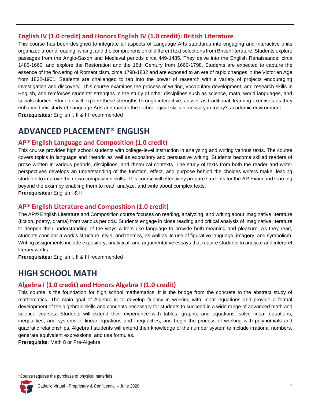# **English IV (1.0 credit) and Honors English IV (1.0 credit): British Literature**

This course has been designed to integrate all aspects of Language Arts standards into engaging and interactive units organized around reading, writing, and the comprehension of different text selections from British literature. Students explore passages from the Anglo-Saxon and Medieval periods circa 449-1485. They delve into the English Renaissance, circa 1485-1660, and explore the Restoration and the 18th Century from 1660-1798. Students are expected to capture the essence of the flowering of Romanticism, circa 1798-1832 and are exposed to an era of rapid changes in the Victorian Age from 1832-1901. Students are challenged to tap into the power of research with a variety of projects encouraging investigation and discovery. This course examines the process of writing, vocabulary development, and research skills in English, and reinforces students' strengths in the study of other disciplines such as science, math, world languages, and socials studies. Students will explore these strengths through interactive, as well as traditional, learning exercises as they enhance their study of Language Arts and master the technological skills necessary in today's academic environment. **Prerequisites:** English I, II & III recommended

# <span id="page-3-0"></span>**ADVANCED PLACEMENT® ENGLISH**

# **AP® English Language and Composition (1.0 credit)**

This course provides high school students with college-level instruction in analyzing and writing various texts. The course covers topics in language and rhetoric as well as expository and persuasive writing. Students become skilled readers of prose written in various periods, disciplines, and rhetorical contexts. The study of texts from both the reader and writer perspectives develops an understanding of the function, effect, and purpose behind the choices writers make, leading students to improve their own composition skills. This course will effectively prepare students for the AP Exam and learning beyond the exam by enabling them to read, analyze, and write about complex texts.

**Prerequisites:** English I & II

# **AP® English Literature and Composition (1.0 credit)**

The AP® English Literature and Composition course focuses on reading, analyzing, and writing about imaginative literature (fiction, poetry, drama) from various periods. Students engage in close reading and critical analysis of imaginative literature to deepen their understanding of the ways writers use language to provide both meaning and pleasure. As they read, students consider a work's structure, style, and themes, as well as its use of figurative language, imagery, and symbolism. Writing assignments include expository, analytical, and argumentative essays that require students to analyze and interpret literary works.

**Prerequisites:** English I, II & III recommended

# <span id="page-3-1"></span>**HIGH SCHOOL MATH**

# **Algebra I (1.0 credit) and Honors Algebra I (1.0 credit)**

This course is the foundation for high school mathematics. It is the bridge from the concrete to the abstract study of mathematics. The main goal of Algebra is to develop fluency in working with linear equations and provide a formal development of the algebraic skills and concepts necessary for students to succeed in a wide range of advanced math and science courses. Students will extend their experience with tables, graphs, and equations; solve linear equations, inequalities, and systems of linear equations and inequalities; and begin the process of working with polynomials and quadratic relationships. Algebra I students will extend their knowledge of the number system to include irrational numbers, generate equivalent expressions, and use formulas.

**Prerequisite**: Math 8 or Pre-Algebra

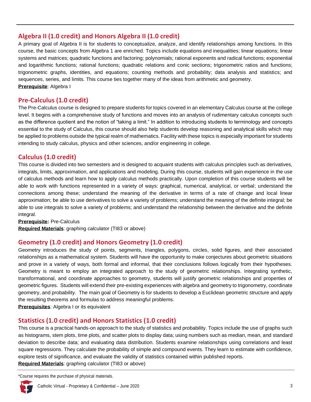# **Algebra II (1.0 credit) and Honors Algebra II (1.0 credit)**

A primary goal of Algebra II is for students to conceptualize, analyze, and identify relationships among functions. In this course, the basic concepts from Algebra 1 are enriched. Topics include equations and inequalities; linear equations; linear systems and matrices; quadratic functions and factoring; polynomials; rational exponents and radical functions; exponential and logarithmic functions; rational functions; quadratic relations and conic sections; trigonometric ratios and functions; trigonometric graphs, identities, and equations; counting methods and probability; data analysis and statistics; and sequences, series, and limits. This course ties together many of the ideas from arithmetic and geometry. **Prerequisite**: Algebra I

# **Pre-Calculus (1.0 credit)**

The Pre-Calculus course is designed to prepare students for topics covered in an elementary Calculus course at the college level. It begins with a comprehensive study of functions and moves into an analysis of rudimentary calculus concepts such as the difference quotient and the notion of "taking a limit." In addition to introducing students to terminology and concepts essential to the study of Calculus, this course should also help students develop reasoning and analytical skills which may be applied to problems outside the typical realm of mathematics. Facility with these topics is especially important for students intending to study calculus, physics and other sciences, and/or engineering in college.

# **Calculus (1.0 credit)**

This course is divided into two semesters and is designed to acquaint students with calculus principles such as derivatives, integrals, limits, approximation, and applications and modeling. During this course, students will gain experience in the use of calculus methods and learn how to apply calculus methods practically. Upon completion of this course students will be able to work with functions represented in a variety of ways: graphical, numerical, analytical, or verbal; understand the connections among these; understand the meaning of the derivative in terms of a rate of change and local linear approximation; be able to use derivatives to solve a variety of problems; understand the meaning of the definite integral; be able to use integrals to solve a variety of problems; and understand the relationship between the derivative and the definite integral.

**Prerequisite:** Pre-Calculus

**Required Materials**: graphing calculator (TI83 or above)

# **Geometry (1.0 credit) and Honors Geometry (1.0 credit)**

Geometry introduces the study of points, segments, triangles, polygons, circles, solid figures, and their associated relationships as a mathematical system. Students will have the opportunity to make conjectures about geometric situations and prove in a variety of ways, both formal and informal, that their conclusions follows logically from their hypotheses. Geometry is meant to employ an integrated approach to the study of geometric relationships. Integrating synthetic, transformational, and coordinate approaches to geometry, students will justify geometric relationships and properties of geometric figures. Students will extend their pre-existing experiences with algebra and geometry to trigonometry, coordinate geometry, and probability. The main goal of Geometry is for students to develop a Euclidean geometric structure and apply the resulting theorems and formulas to address meaningful problems.

**Prerequisites**: Algebra I or its equivalent

# **Statistics (1.0 credit) and Honors Statistics (1.0 credit)**

This course is a practical hands-on approach to the study of statistics and probability. Topics include the use of graphs such as histograms, stem plots, time plots, and scatter plots to display data; using numbers such as median, mean, and standard deviation to describe data; and evaluating data distribution. Students examine relationships using correlations and least square regressions. They calculate the probability of simple and compound events. They learn to estimate with confidence, explore tests of significance, and evaluate the validity of statistics contained within published reports.

**Required Materials**: graphing calculator (TI83 or above)

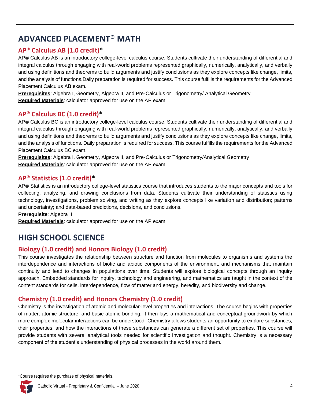# <span id="page-5-0"></span>**ADVANCED PLACEMENT® MATH**

# **AP® Calculus AB (1.0 credit)\***

AP® Calculus AB is an introductory college-level calculus course. Students cultivate their understanding of differential and integral calculus through engaging with real-world problems represented graphically, numerically, analytically, and verbally and using definitions and theorems to build arguments and justify conclusions as they explore concepts like change, limits, and the analysis of functions.Daily preparation is required for success. This course fulfills the requirements for the Advanced Placement Calculus AB exam.

**Prerequisites**: Algebra I, Geometry, Algebra II, and Pre-Calculus or Trigonometry/ Analytical Geometry **Required Materials**: calculator approved for use on the AP exam

# **AP® Calculus BC (1.0 credit)\***

AP® Calculus BC is an introductory college-level calculus course. Students cultivate their understanding of differential and integral calculus through engaging with real-world problems represented graphically, numerically, analytically, and verbally and using definitions and theorems to build arguments and justify conclusions as they explore concepts like change, limits, and the analysis of functions. Daily preparation is required for success. This course fulfills the requirements for the Advanced Placement Calculus BC exam.

**Prerequisites**: Algebra I, Geometry, Algebra II, and Pre-Calculus or Trigonometry/Analytical Geometry **Required Materials**: calculator approved for use on the AP exam

### **AP® Statistics (1.0 credit)\***

AP® Statistics is an introductory college-level statistics course that introduces students to the major concepts and tools for collecting, analyzing, and drawing conclusions from data. Students cultivate their understanding of statistics using technology, investigations, problem solving, and writing as they explore concepts like variation and distribution; patterns and uncertainty; and data-based predictions, decisions, and conclusions.

**Prerequisite**: Algebra II

**Required Materials**: calculator approved for use on the AP exam

# <span id="page-5-1"></span>**HIGH SCHOOL SCIENCE**

# **Biology (1.0 credit) and Honors Biology (1.0 credit)**

This course investigates the relationship between structure and function from molecules to organisms and systems the interdependence and interactions of biotic and abiotic components of the environment, and mechanisms that maintain continuity and lead to changes in populations over time. Students will explore biological concepts through an inquiry approach. Embedded standards for inquiry, technology and engineering, and mathematics are taught in the context of the content standards for cells, interdependence, flow of matter and energy, heredity, and biodiversity and change.

# **Chemistry (1.0 credit) and Honors Chemistry (1.0 credit)**

Chemistry is the investigation of atomic and molecular-level properties and interactions. The course begins with properties of matter, atomic structure, and basic atomic bonding. It then lays a mathematical and conceptual groundwork by which more complex molecular interactions can be understood. Chemistry allows students an opportunity to explore substances, their properties, and how the interactions of these substances can generate a different set of properties. This course will provide students with several analytical tools needed for scientific investigation and thought. Chemistry is a necessary component of the student's understanding of physical processes in the world around them.

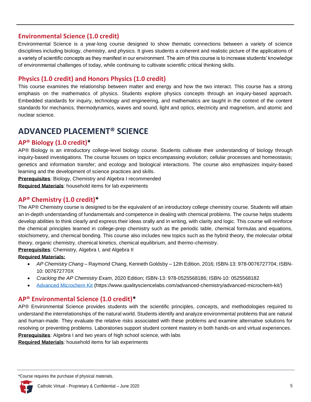### **Environmental Science (1.0 credit)**

Environmental Science is a year-long course designed to show thematic connections between a variety of science disciplines including biology, chemistry, and physics. It gives students a coherent and realistic picture of the applications of a variety of scientific concepts as they manifest in our environment. The aim of this course is to increase students' knowledge of environmental challenges of today, while continuing to cultivate scientific critical thinking skills.

# **Physics (1.0 credit) and Honors Physics (1.0 credit)**

This course examines the relationship between matter and energy and how the two interact. This course has a strong emphasis on the mathematics of physics. Students explore physics concepts through an inquiry-based approach. Embedded standards for inquiry, technology and engineering, and mathematics are taught in the context of the content standards for mechanics, thermodynamics, waves and sound, light and optics, electricity and magnetism, and atomic and nuclear science.

# <span id="page-6-0"></span>**ADVANCED PLACEMENT® SCIENCE**

### **AP® Biology (1.0 credit)\***

AP® Biology is an introductory college-level biology course. Students cultivate their understanding of biology through inquiry-based investigations. The course focuses on topics encompassing evolution; cellular processes and homeostasis; genetics and information transfer; and ecology and biological interactions. The course also emphasizes inquiry-based learning and the development of science practices and skills.

**Prerequisites**: Biology, Chemistry and Algebra I recommended

**Required Materials**: household items for lab experiments

### **AP® Chemistry (1.0 credit)\***

The AP® Chemistry course is designed to be the equivalent of an introductory college chemistry course. Students will attain an in-depth understanding of fundamentals and competence in dealing with chemical problems. The course helps students develop abilities to think clearly and express their ideas orally and in writing, with clarity and logic. This course will reinforce the chemical principles learned in college-prep chemistry such as the periodic table, chemical formulas and equations, stoichiometry, and chemical bonding. This course also includes new topics such as the hybrid theory, the molecular orbital theory, organic chemistry, chemical kinetics, chemical equilibrium, and thermo-chemistry.

**Prerequisites**: Chemistry, Algebra I, and Algebra II

#### **Required Materials:**

- *AP Chemistry Chang* Raymond Chang, Kenneth Goldsby 12th Edition, 2016; ISBN-13: 978-0076727704; ISBN-10: 007672770X
- *Cracking the AP Chemistry Exam*, 2020 Edition; ISBN-13: 978-0525568186; ISBN-10: 0525568182
- [Advanced Microchem Kit](https://www.qualitysciencelabs.com/advanced-chemistry/advanced-microchem-kit/) (https://www.qualitysciencelabs.com/advanced-chemistry/advanced-microchem-kit/)

# **AP® Environmental Science (1.0 credit)\***

AP® Environmental Science provides students with the scientific principles, concepts, and methodologies required to understand the interrelationships of the natural world. Students identify and analyze environmental problems that are natural and human-made. They evaluate the relative risks associated with these problems and examine alternative solutions for resolving or preventing problems. Laboratories support student content mastery in both hands-on and virtual experiences. **Prerequisites**: Algebra I and two years of high school science, with labs

**Required Materials**: household items for lab experiments

<sup>\*</sup>Course requires the purchase of physical materials.

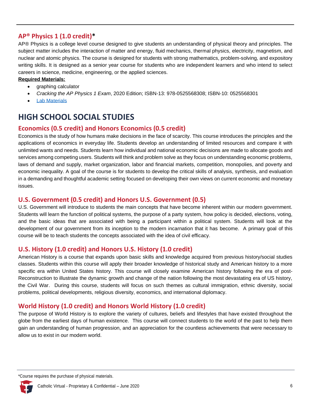# **AP® Physics 1 (1.0 credit)\***

AP® Physics is a college level course designed to give students an understanding of physical theory and principles. The subject matter includes the interaction of matter and energy, fluid mechanics, thermal physics, electricity, magnetism, and nuclear and atomic physics. The course is designed for students with strong mathematics, problem-solving, and expository writing skills. It is designed as a senior year course for students who are independent learners and who intend to select careers in science, medicine, engineering, or the applied sciences.

#### **Required Materials:**

- graphing calculator
- *Cracking the AP Physics 1 Exam*, 2020 Edition; ISBN-13: 978-0525568308; ISBN-10: 0525568301
- **[Lab Materials](https://accelerate.education/wp-content/uploads/2019/08/APPhysics_MaterialsInfo.pdf)**

# <span id="page-7-0"></span>**HIGH SCHOOL SOCIAL STUDIES**

# **Economics (0.5 credit) and Honors Economics (0.5 credit)**

Economics is the study of how humans make decisions in the face of scarcity. This course introduces the principles and the applications of economics in everyday life. Students develop an understanding of limited resources and compare it with unlimited wants and needs. Students learn how individual and national economic decisions are made to allocate goods and services among competing users. Students will think and problem solve as they focus on understanding economic problems, laws of demand and supply, market organization, labor and financial markets, competition, monopolies, and poverty and economic inequality. A goal of the course is for students to develop the critical skills of analysis, synthesis, and evaluation in a demanding and thoughtful academic setting focused on developing their own views on current economic and monetary issues.

#### **U.S. Government (0.5 credit) and Honors U.S. Government (0.5)**

U.S. Government will introduce to students the main concepts that have become inherent within our modern government. Students will learn the function of political systems, the purpose of a party system, how policy is decided, elections, voting, and the basic ideas that are associated with being a participant within a political system. Students will look at the development of our government from its inception to the modern incarnation that it has become. A primary goal of this course will be to teach students the concepts associated with the idea of civil efficacy.

#### **U.S. History (1.0 credit) and Honors U.S. History (1.0 credit)**

American History is a course that expands upon basic skills and knowledge acquired from previous history/social studies classes. Students within this course will apply their broader knowledge of historical study and American history to a more specific era within United States history. This course will closely examine American history following the era of post-Reconstruction to illustrate the dynamic growth and change of the nation following the most devastating era of US history, the Civil War. During this course, students will focus on such themes as cultural immigration, ethnic diversity, social problems, political developments, religious diversity, economics, and international diplomacy.

# **World History (1.0 credit) and Honors World History (1.0 credit)**

The purpose of World History is to explore the variety of cultures, beliefs and lifestyles that have existed throughout the globe from the earliest days of human existence. This course will connect students to the world of the past to help them gain an understanding of human progression, and an appreciation for the countless achievements that were necessary to allow us to exist in our modern world.

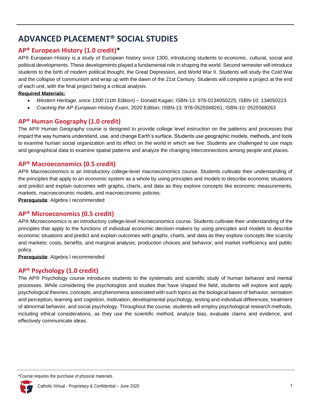# <span id="page-8-0"></span>**ADVANCED PLACEMENT® SOCIAL STUDIES**

# **AP® European History (1.0 credit)\***

AP® European History is a study of European history since 1300, introducing students to economic, cultural, social and political developments. These developments played a fundamental role in shaping the world. Second semester will introduce students to the birth of modern political thought, the Great Depression, and World War II. Students will study the Cold War and the collapse of communism and wrap up with the dawn of the 21st Century. Students will complete a project at the end of each unit, with the final project being a critical analysis.

#### **Required Materials:**

- *Western Heritage, since 1300* (11th Edition) Donald Kagan; ISBN-13: 978-0134050225; ISBN-10: 134050223
- *Cracking the AP European History Exam*, 2020 Edition; ISBN-13: 978-0525568261; ISBN-10: 0525568263

# **AP® Human Geography (1.0 credit)**

The AP® Human Geography course is designed to provide college level instruction on the patterns and processes that impact the way humans understand, use, and change Earth's surface. Students use geographic models, methods, and tools to examine human social organization and its effect on the world in which we live. Students are challenged to use maps and geographical data to examine spatial patterns and analyze the changing interconnections among people and places.

# **AP® Macroeconomics (0.5 credit)**

AP® Macroeconomics is an introductory college-level macroeconomics course. Students cultivate their understanding of the principles that apply to an economic system as a whole by using principles and models to describe economic situations and predict and explain outcomes with graphs, charts, and data as they explore concepts like economic measurements, markets, macroeconomic models, and macroeconomic policies.

**Prerequisite**: Algebra I recommended

#### **AP® Microeconomics (0.5 credit)**

AP® Microeconomics is an introductory college-level microeconomics course. Students cultivate their understanding of the principles that apply to the functions of individual economic decision-makers by using principles and models to describe economic situations and predict and explain outcomes with graphs, charts, and data as they explore concepts like scarcity and markets; costs, benefits, and marginal analysis; production choices and behavior; and market inefficiency and public policy.

**Prerequisite**: Algebra I recommended

# **AP® Psychology (1.0 credit)**

The AP® Psychology course introduces students to the systematic and scientific study of human behavior and mental processes. While considering the psychologists and studies that have shaped the field, students will explore and apply psychological theories, concepts, and phenomena associated with such topics as the biological bases of behavior, sensation and perception, learning and cognition, motivation, developmental psychology, testing and individual differences, treatment of abnormal behavior, and social psychology. Throughout the course, students will employ psychological research methods, including ethical considerations, as they use the scientific method, analyze bias, evaluate claims and evidence, and effectively communicate ideas.

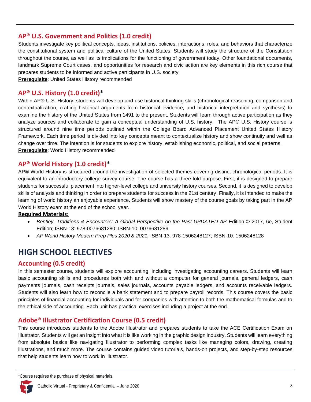### **AP® U.S. Government and Politics (1.0 credit)**

Students investigate key political concepts, ideas, institutions, policies, interactions, roles, and behaviors that characterize the constitutional system and political culture of the United States. Students will study the structure of the Constitution throughout the course, as well as its implications for the functioning of government today. Other foundational documents, landmark Supreme Court cases, and opportunities for research and civic action are key elements in this rich course that prepares students to be informed and active participants in U.S. society.

**Prerequisite**: United States History recommended

#### **AP® U.S. History (1.0 credit)\***

Within AP® U.S. History, students will develop and use historical thinking skills (chronological reasoning, comparison and contextualization, crafting historical arguments from historical evidence, and historical interpretation and synthesis) to examine the history of the United States from 1491 to the present. Students will learn through active participation as they analyze sources and collaborate to gain a conceptual understanding of U.S. history. The AP® U.S. History course is structured around nine time periods outlined within the College Board Advanced Placement United States History Framework. Each time period is divided into key concepts meant to contextualize history and show continuity and well as change over time. The intention is for students to explore history, establishing economic, political, and social patterns. **Prerequisite**: World History recommended

#### **AP® World History (1.0 credit)\***

AP® World History is structured around the investigation of selected themes covering distinct chronological periods. It is equivalent to an introductory college survey course. The course has a three-fold purpose. First, it is designed to prepare students for successful placement into higher-level college and university history courses. Second, it is designed to develop skills of analysis and thinking in order to prepare students for success in the 21st century. Finally, it is intended to make the learning of world history an enjoyable experience. Students will show mastery of the course goals by taking part in the AP World History exam at the end of the school year.

#### **Required Materials:**

- *Bentley, Traditions & Encounters: A Global Perspective on the Past UPDATED AP* Edition © 2017, 6e, Student Edition; ISBN-13: 978-0076681280; ISBN-10: 0076681289
- *AP World History Modern Prep Plus 2020 & 2021;* ISBN-13: 978-1506248127; ISBN-10: 1506248128

# <span id="page-9-0"></span>**HIGH SCHOOL ELECTIVES**

#### **Accounting (0.5 credit)**

In this semester course, students will explore accounting, including investigating accounting careers. Students will learn basic accounting skills and procedures both with and without a computer for general journals, general ledgers, cash payments journals, cash receipts journals, sales journals, accounts payable ledgers, and accounts receivable ledgers. Students will also learn how to reconcile a bank statement and to prepare payroll records. This course covers the basic principles of financial accounting for individuals and for companies with attention to both the mathematical formulas and to the ethical side of accounting. Each unit has practical exercises including a project at the end.

# **Adobe® Illustrator Certification Course (0.5 credit)**

This course introduces students to the Adobe Illustrator and prepares students to take the ACE Certification Exam on Illustrator. Students will get an insight into what it is like working in the graphic design industry. Students will learn everything from absolute basics like navigating Illustrator to performing complex tasks like managing colors, drawing, creating illustrations, and much more. The course contains guided video tutorials, hands-on projects, and step-by-step resources that help students learn how to work in Illustrator.

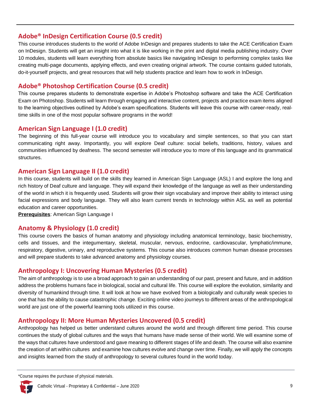### **Adobe® InDesign Certification Course (0.5 credit)**

This course introduces students to the world of Adobe InDesign and prepares students to take the ACE Certification Exam on InDesign. Students will get an insight into what it is like working in the print and digital media publishing industry. Over 10 modules, students will learn everything from absolute basics like navigating InDesign to performing complex tasks like creating multi-page documents, applying effects, and even creating original artwork. The course contains guided tutorials, do-it-yourself projects, and great resources that will help students practice and learn how to work in InDesign.

# **Adobe® Photoshop Certification Course (0.5 credit)**

This course prepares students to demonstrate expertise in Adobe's Photoshop software and take the ACE Certification Exam on Photoshop. Students will learn through engaging and interactive content, projects and practice exam items aligned to the learning objectives outlined by Adobe's exam specifications. Students will leave this course with career-ready, real‐ time skills in one of the most popular software programs in the world!

#### **American Sign Language I (1.0 credit)**

The beginning of this full-year course will introduce you to vocabulary and simple sentences, so that you can start communicating right away. Importantly, you will explore Deaf culture: social beliefs, traditions, history, values and communities influenced by deafness. The second semester will introduce you to more of this language and its grammatical structures.

### **American Sign Language II (1.0 credit)**

In this course, students will build on the skills they learned in American Sign Language (ASL) I and explore the long and rich history of Deaf culture and language. They will expand their knowledge of the language as well as their understanding of the world in which it is frequently used. Students will grow their sign vocabulary and improve their ability to interact using facial expressions and body language. They will also learn current trends in technology within ASL as well as potential education and career opportunities.

**Prerequisites**: American Sign Language I

# **Anatomy & Physiology (1.0 credit)**

This course covers the basics of human anatomy and physiology including anatomical terminology, basic biochemistry, cells and tissues, and the integumentary, skeletal, muscular, nervous, endocrine, cardiovascular, lymphatic/immune, respiratory, digestive, urinary, and reproductive systems. This course also introduces common human disease processes and will prepare students to take advanced anatomy and physiology courses.

# **Anthropology I: Uncovering Human Mysteries (0.5 credit)**

The aim of anthropology is to use a broad approach to gain an understanding of our past, present and future, and in addition address the problems humans face in biological, social and cultural life. This course will explore the evolution, similarity and diversity of humankind through time. It will look at how we have evolved from a biologically and culturally weak species to one that has the ability to cause catastrophic change. Exciting online video journeys to different areas of the anthropological world are just one of the powerful learning tools utilized in this course.

# **Anthropology II: More Human Mysteries Uncovered (0.5 credit)**

Anthropology has helped us better understand cultures around the world and through different time period. This course continues the study of global cultures and the ways that humans have made sense of their world. We will examine some of the ways that cultures have understood and gave meaning to different stages of life and death. The course will also examine the creation of art within cultures and examine how cultures evolve and change over time. Finally, we will apply the concepts and insights learned from the study of anthropology to several cultures found in the world today.

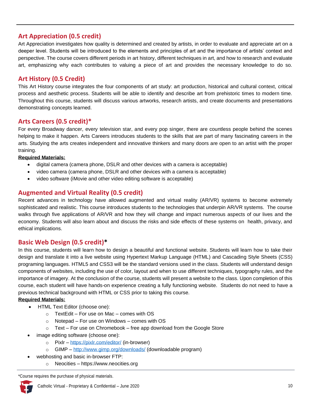# **Art Appreciation (0.5 credit)**

Art Appreciation investigates how quality is determined and created by artists, in order to evaluate and appreciate art on a deeper level. Students will be introduced to the elements and principles of art and the importance of artists' context and perspective. The course covers different periods in art history, different techniques in art, and how to research and evaluate art, emphasizing why each contributes to valuing a piece of art and provides the necessary knowledge to do so.

# **Art History (0.5 Credit)**

This Art History course integrates the four components of art study: art production, historical and cultural context, critical process and aesthetic process. Students will be able to identify and describe art from prehistoric times to modern time. Throughout this course, students will discuss various artworks, research artists, and create documents and presentations demonstrating concepts learned.

# **Arts Careers (0.5 credit)\***

For every Broadway dancer, every television star, and every pop singer, there are countless people behind the scenes helping to make it happen. Arts Careers introduces students to the skills that are part of many fascinating careers in the arts. Studying the arts creates independent and innovative thinkers and many doors are open to an artist with the proper training.

#### **Required Materials:**

- digital camera (camera phone, DSLR and other devices with a camera is acceptable)
- video camera (camera phone, DSLR and other devices with a camera is acceptable)
- video software (iMovie and other video editing software is acceptable)

# **Augmented and Virtual Reality (0.5 credit)**

Recent advances in technology have allowed augmented and virtual reality (AR/VR) systems to become extremely sophisticated and realistic. This course introduces students to the technologies that underpin AR/VR systems. The course walks through five applications of AR/VR and how they will change and impact numerous aspects of our lives and the economy. Students will also learn about and discuss the risks and side effects of these systems on health, privacy, and ethical implications.

#### **Basic Web Design (0.5 credit)\***

In this course, students will learn how to design a beautiful and functional website. Students will learn how to take their design and translate it into a live website using Hypertext Markup Language (HTML) and Cascading Style Sheets (CSS) programing languages. HTML5 and CSS3 will be the standard versions used in the class. Students will understand design components of websites, including the use of color, layout and when to use different techniques, typography rules, and the importance of imagery. At the conclusion of the course, students will present a website to the class. Upon completion of this course, each student will have hands-on experience creating a fully functioning website. Students do not need to have a previous technical background with HTML or CSS prior to taking this course.

#### **Required Materials:**

- HTML Text Editor (choose one):
	- $\circ$  TextEdit For use on Mac comes with OS
	- o Notepad For use on Windows comes with OS
	- $\circ$  Text For use on Chromebook free app download from the Google Store
- image editing software (choose one):
	- o Pixlr <https://pixlr.com/editor/> (in-browser)
	- o GIMP <http://www.gimp.org/downloads/> (downloadable program)
- webhosting and basic in-browser FTP:
	- o Neocities https://www.neocities.org

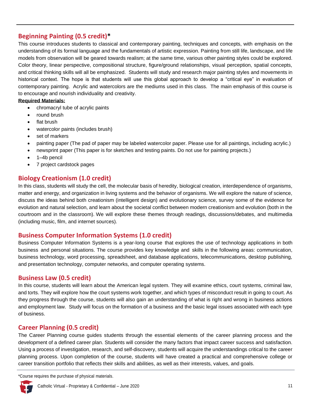# **Beginning Painting (0.5 credit)\***

This course introduces students to classical and contemporary painting, techniques and concepts, with emphasis on the understanding of its formal language and the fundamentals of artistic expression. Painting from still life, landscape, and life models from observation will be geared towards realism; at the same time, various other painting styles could be explored. Color theory, linear perspective, compositional structure, figure/ground relationships, visual perception, spatial concepts, and critical thinking skills will all be emphasized. Students will study and research major painting styles and movements in historical context. The hope is that students will use this global approach to develop a "critical eye" in evaluation of contemporary painting. Acrylic and watercolors are the mediums used in this class. The main emphasis of this course is to encourage and nourish individuality and creativity.

#### **Required Materials:**

- chromacryl tube of acrylic paints
- round brush
- flat brush
- watercolor paints (includes brush)
- set of markers
- painting paper (The pad of paper may be labeled watercolor paper. Please use for all paintings, including acrylic.)
- newsprint paper (This paper is for sketches and testing paints. Do not use for painting projects.)
- 1–4b pencil
- 7 project cardstock pages

### **Biology Creationism (1.0 credit)**

In this class, students will study the cell, the molecular basis of heredity, biological creation, interdependence of organisms, matter and energy, and organization in living systems and the behavior of organisms. We will explore the nature of science, discuss the ideas behind both creationism (intelligent design) and evolutionary science, survey some of the evidence for evolution and natural selection, and learn about the societal conflict between modern creationism and evolution (both in the courtroom and in the classroom). We will explore these themes through readings, discussions/debates, and multimedia (including music, film, and internet sources).

#### **Business Computer Information Systems (1.0 credit)**

Business Computer Information Systems is a year-long course that explores the use of technology applications in both business and personal situations. The course provides key knowledge and skills in the following areas: communication, business technology, word processing, spreadsheet, and database applications, telecommunications, desktop publishing, and presentation technology, computer networks, and computer operating systems.

#### **Business Law (0.5 credit)**

In this course, students will learn about the American legal system. They will examine ethics, court systems, criminal law, and torts. They will explore how the court systems work together, and which types of misconduct result in going to court. As they progress through the course, students will also gain an understanding of what is right and wrong in business actions and employment law. Study will focus on the formation of a business and the basic legal issues associated with each type of business.

# **Career Planning (0.5 credit)**

The Career Planning course guides students through the essential elements of the career planning process and the development of a defined career plan. Students will consider the many factors that impact career success and satisfaction. Using a process of investigation, research, and self-discovery, students will acquire the understandings critical to the career planning process. Upon completion of the course, students will have created a practical and comprehensive college or career transition portfolio that reflects their skills and abilities, as well as their interests, values, and goals.

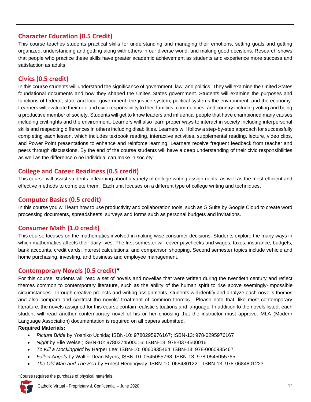# **Character Education (0.5 Credit)**

This course teaches students practical skills for understanding and managing their emotions, setting goals and getting organized, understanding and getting along with others in our diverse world, and making good decisions. Research shows that people who practice these skills have greater academic achievement as students and experience more success and satisfaction as adults.

# **Civics (0.5 credit)**

In this course students will understand the significance of government, law, and politics. They will examine the United States foundational documents and how they shaped the Unites States government. Students will examine the purposes and functions of federal, state and local government, the justice system, political systems the environment, and the economy. Learners will evaluate their role and civic responsibility to their families, communities, and country including voting and being a productive member of society. Students will get to know leaders and influential people that have championed many causes including civil rights and the environment. Learners will also learn proper ways to interact in society including interpersonal skills and respecting differences in others including disabilities. Learners will follow a step-by-step approach for successfully completing each lesson, which includes textbook reading, interactive activities, supplemental reading, lecture, video clips, and Power Point presentations to enhance and reinforce learning. Learners receive frequent feedback from teacher and peers through discussions. By the end of the course students will have a deep understanding of their civic responsibilities as well as the difference o ne individual can make in society.

# **College and Career Readiness (0.5 credit)**

This course will assist students in learning about a variety of college writing assignments, as well as the most efficient and effective methods to complete them. Each unit focuses on a different type of college writing and techniques.

# **Computer Basics (0.5 credit)**

In this course you will learn how to use productivity and collaboration tools, such as G Suite by Google Cloud to create word processing documents, spreadsheets, surveys and forms such as personal budgets and invitations.

# **Consumer Math (1.0 credit)**

This course focuses on the mathematics involved in making wise consumer decisions. Students explore the many ways in which mathematics affects their daily lives. The first semester will cover paychecks and wages, taxes, insurance, budgets, bank accounts, credit cards, interest calculations, and comparison shopping. Second semester topics include vehicle and home purchasing, investing, and business and employee management.

#### **Contemporary Novels (0.5 credit)\***

For this course, students will read a set of novels and novellas that were written during the twentieth century and reflect themes common to contemporary literature, such as the ability of the human spirit to rise above seemingly-impossible circumstances. Through creative projects and writing assignments, students will identify and analyze each novel's themes and also compare and contrast the novels' treatment of common themes. Please note that, like most contemporary literature, the novels assigned for this course contain realistic situations and language. In addition to the novels listed, each student will read another contemporary novel of his or her choosing that the instructor must approve. MLA (Modern Language Association) documentation is required on all papers submitted.

#### **Required Materials:**

- *Picture Bride* by Yoshiko Uchida; ISBN-10: 9780295976167; ISBN-13: 978-0295976167
- *Night* by Elie Weisel; ISBN-10: 9780374500016; ISBN-13: 978-0374500016
- *To Kill a Mockingbird* by Harper Lee; ISBN-10: 0060935464; ISBN-13: 978-0060935467
- *Fallen Angels* by Walter Dean Myers; ISBN-10: 0545055768; ISBN-13: 978-0545055765
- *The Old Man and The Sea* by Ernest Hemingway; ISBN-10: 0684801221; ISBN-13: 978-0684801223

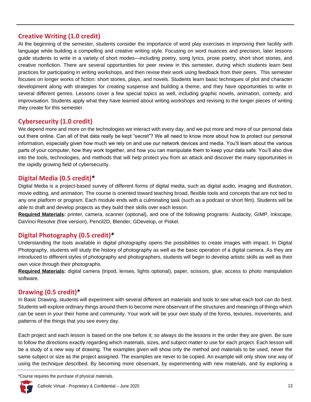# **Creative Writing (1.0 credit)**

At the beginning of the semester, students consider the importance of word play exercises in improving their facility with language while building a compelling and creative writing style. Focusing on word nuances and precision, later lessons guide students to write in a variety of short modes—including poetry, song lyrics, prose poetry, short short stories, and creative nonfiction. There are several opportunities for peer review in this semester, during which students learn best practices for participating in writing workshops, and then revise their work using feedback from their peers. This semester focuses on longer works of fiction: short stories, plays, and novels. Students learn basic techniques of plot and character development along with strategies for creating suspense and building a theme, and they have opportunities to write in several different genres. Lessons cover a few special topics as well, including graphic novels, animation, comedy, and improvisation. Students apply what they have learned about writing workshops and revising to the longer pieces of writing they create for this semester.

# **Cybersecurity (1.0 credit)**

We depend more and more on the technologies we interact with every day, and we put more and more of our personal data out there online. Can all of that data really be kept "secret"? We all need to know more about how to protect our personal information, especially given how much we rely on and use our network devices and media. You'll learn about the various parts of your computer, how they work together, and how you can manipulate them to keep your data safe. You'll also dive into the tools, technologies, and methods that will help protect you from an attack and discover the many opportunities in the rapidly growing field of cybersecurity.

# **Digital Media (0.5 credit)\***

Digital Media is a project-based survey of different forms of digital media, such as digital audio, imaging and illustration, movie editing, and animation. The course is oriented toward teaching broad, flexible tools and concepts that are not tied to any one platform or program. Each module ends with a culminating task (such as a podcast or short film). Students will be able to draft and develop projects as they build their skills over each lesson.

**Required Materials:** printer, camera, scanner (optional), and one of the following programs: Audacity, GIMP, Inkscape, DaVinci Resolve (free version), Pencil2D, Blender, GDevelop, or Piskel.

# **Digital Photography (0.5 credit)\***

Understanding the tools available in digital photography opens the possibilities to create images with impact. In Digital Photography, students will study the history of photography as well as the basic operation of a digital camera. As they are introduced to different styles of photography and photographers, students will begin to develop artistic skills as well as their own voice through their photographs.

**Required Materials:** digital camera (tripod, lenses, lights optional), paper, scissors, glue, access to photo manipulation software.

# **Drawing (0.5 credit)\***

In Basic Drawing, students will experiment with several different art materials and tools to see what each tool can do best. Students will explore ordinary things around them to become more observant of the structures and meanings of things which can be seen in your their home and community. Your work will be your own study of the forms, textures, movements, and patterns of the things that you see every day.

Each project and each lesson is based on the one before it; so always do the lessons in the order they are given. Be sure to follow the directions exactly regarding which materials, sizes, and subject matter to use for each project. Each lesson will be a study of a new way of drawing. The examples given will show only the method and materials to be used, never the same subject or size as the project assigned. The examples are never to be copied. An example will only show one way of using the technique described. By becoming more observant, by experimenting with new materials, and by exploring a

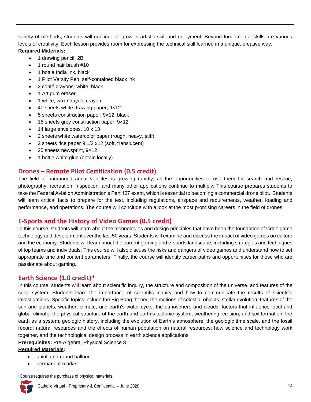variety of methods, students will continue to grow in artistic skill and enjoyment. Beyond fundamental skills are various levels of creativity. Each lesson provides room for expressing the technical skill learned in a unique, creative way. **Required Materials:**

- 1 drawing pencil, 2B
- 1 round hair brush #10
- 1 bottle India Ink, black
- 1 Pilot Varsity Pen, self-contained black ink
- 2 conté crayons: white, black
- 1 Art gum eraser
- 1 white, wax Crayola crayon
- 40 sheets white drawing paper, 9x12
- 5 sheets construction paper, 9x12, black
- 15 sheets grey construction paper, 9×12
- 14 large envelopes, 10 x 13
- 2 sheets white watercolor paper (rough, heavy, stiff)
- 2 sheets rice paper 9 1/2 x12 (soft, translucent)
- 25 sheets newsprint, 9x12
- 1 bottle white glue (obtain locally)

# **Drones – Remote Pilot Certification (0.5 credit)**

The field of unmanned aerial vehicles is growing rapidly, as the opportunities to use them for search and rescue, photography, recreation, inspection, and many other applications continue to multiply. This course prepares students to take the [Federal Aviation Administration's Part 107](https://www.faa.gov/uas/commercial_operators/) exam, which is essential to becoming a commercial drone pilot. Students will learn critical facts to prepare for the test, including regulations, airspace and requirements, weather, loading and performance, and operations. The course will conclude with a look at the most promising careers in the field of drones.

# **E-Sports and the History of Video Games (0.5 credit)**

In this course, students will learn about the technologies and design principles that have been the foundation of video game technology and development over the last 50 years. Students will examine and discuss the impact of video games on culture and the economy. Students will learn about the current gaming and e-sports landscape, including strategies and techniques of top teams and individuals. This course will also discuss the risks and dangers of video games and understand how to set appropriate time and content parameters. Finally, the course will identify career paths and opportunities for those who are passionate about gaming.

# **Earth Science (1.0 credit)\***

In this course, students will learn about scientific inquiry, the structure and composition of the universe, and features of the solar system. Students learn the importance of scientific inquiry and how to communicate the results of scientific investigations. Specific topics include the Big Bang theory; the motions of celestial objects; stellar evolution; features of the sun and planets; weather, climate, and earth's water cycle; the atmosphere and clouds; factors that influence local and global climate; the physical structure of the earth and earth's tectonic system; weathering, erosion, and soil formation; the earth as a system; geologic history, including the evolution of Earth's atmosphere, the geologic time scale, and the fossil record; natural resources and the effects of human population on natural resources; how science and technology work together, and the technological design process in earth science applications.

**Prerequisites:** Pre-Algebra, Physical Science 8

#### **Required Materials:**

- uninflated round balloon
- permanent marker

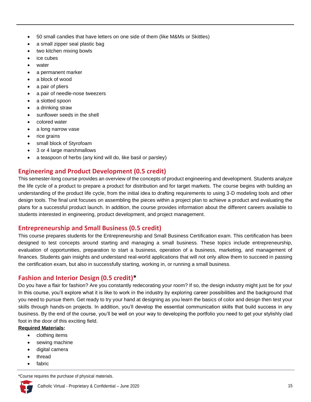- 50 small candies that have letters on one side of them (like M&Ms or Skittles)
- a small zipper seal plastic bag
- two kitchen mixing bowls
- ice cubes
- water
- a permanent marker
- a block of wood
- a pair of pliers
- a pair of needle-nose tweezers
- a slotted spoon
- a drinking straw
- sunflower seeds in the shell
- colored water
- a long narrow vase
- rice grains
- small block of Styrofoam
- 3 or 4 large marshmallows
- a teaspoon of herbs (any kind will do, like basil or parsley)

# **Engineering and Product Development (0.5 credit)**

This semester-long course provides an overview of the concepts of product engineering and development. Students analyze the life cycle of a product to prepare a product for distribution and for target markets. The course begins with building an understanding of the product life cycle, from the initial idea to drafting requirements to using 3-D modeling tools and other design tools. The final unit focuses on assembling the pieces within a project plan to achieve a product and evaluating the plans for a successful product launch. In addition, the course provides information about the different careers available to students interested in engineering, product development, and project management.

# **Entrepreneurship and Small Business (0.5 credit)**

This course prepares students for the Entrepreneurship and Small Business Certification exam. This certification has been designed to test concepts around starting and managing a small business. These topics include entrepreneurship, evaluation of opportunities, preparation to start a business, operation of a business, marketing, and management of finances. Students gain insights and understand real-world applications that will not only allow them to succeed in passing the certification exam, but also in successfully starting, working in, or running a small business.

# **Fashion and Interior Design (0.5 credit)\***

Do you have a flair for fashion? Are you constantly redecorating your room? If so, the design industry might just be for you! In this course, you'll explore what it is like to work in the industry by exploring career possibilities and the background that you need to pursue them. Get ready to try your hand at designing as you learn the basics of color and design then test your skills through hands-on projects. In addition, you'll develop the essential communication skills that build success in any business. By the end of the course, you'll be well on your way to developing the portfolio you need to get your stylishly clad foot in the door of this exciting field.

#### **Required Materials:**

- clothing items
- sewing machine
- digital camera
- thread
- fabric

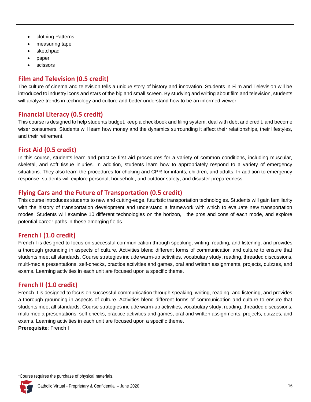- clothing Patterns
- measuring tape
- sketchpad
- paper
- **scissors**

# **Film and Television (0.5 credit)**

The culture of cinema and television tells a unique story of history and innovation. Students in Film and Television will be introduced to industry icons and stars of the big and small screen. By studying and writing about film and television, students will analyze trends in technology and culture and better understand how to be an informed viewer.

# **Financial Literacy (0.5 credit)**

This course is designed to help students budget, keep a checkbook and filing system, deal with debt and credit, and become wiser consumers. Students will learn how money and the dynamics surrounding it affect their relationships, their lifestyles, and their retirement.

# **First Aid (0.5 credit)**

In this course, students learn and practice first aid procedures for a variety of common conditions, including muscular, skeletal, and soft tissue injuries. In addition, students learn how to appropriately respond to a variety of emergency situations. They also learn the procedures for choking and CPR for infants, children, and adults. In addition to emergency response, students will explore personal, household, and outdoor safety, and disaster preparedness.

# **Flying Cars and the Future of Transportation (0.5 credit)**

This course introduces students to new and cutting-edge, futuristic transportation technologies. Students will gain familiarity with the history of transportation development and understand a framework with which to evaluate new transportation modes. Students will examine 10 different technologies on the horizon, , the pros and cons of each mode, and explore potential career paths in these emerging fields.

# **French I (1.0 credit)**

French I is designed to focus on successful communication through speaking, writing, reading, and listening, and provides a thorough grounding in aspects of culture. Activities blend different forms of communication and culture to ensure that students meet all standards. Course strategies include warm-up activities, vocabulary study, reading, threaded discussions, multi-media presentations, self-checks, practice activities and games, oral and written assignments, projects, quizzes, and exams. Learning activities in each unit are focused upon a specific theme.

# **French II (1.0 credit)**

French II is designed to focus on successful communication through speaking, writing, reading, and listening, and provides a thorough grounding in aspects of culture. Activities blend different forms of communication and culture to ensure that students meet all standards. Course strategies include warm-up activities, vocabulary study, reading, threaded discussions, multi-media presentations, self-checks, practice activities and games, oral and written assignments, projects, quizzes, and exams. Learning activities in each unit are focused upon a specific theme.

**Prerequisite**: French I

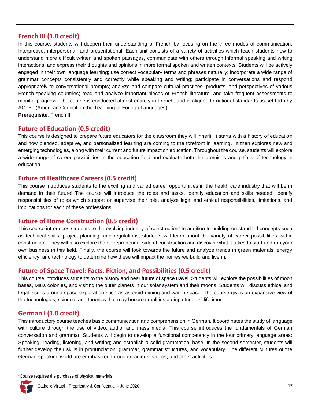#### **French III (1.0 credit)**

In this course, students will deepen their understanding of French by focusing on the three modes of communication: Interpretive, interpersonal, and presentational. Each unit consists of a variety of activities which teach students how to understand more difficult written and spoken passages, communicate with others through informal speaking and writing interactions, and express their thoughts and opinions in more formal spoken and written contexts. Students will be actively engaged in their own language learning; use correct vocabulary terms and phrases naturally; incorporate a wide range of grammar concepts consistently and correctly while speaking and writing; participate in conversations and respond appropriately to conversational prompts; analyze and compare cultural practices, products, and perspectives of various French-speaking countries; read and analyze important pieces of French literature; and take frequent assessments to monitor progress. The course is conducted almost entirely in French, and is aligned to national standards as set forth by ACTFL (American Council on the Teaching of Foreign Languages). **Prerequisite**: French II

### **Future of Education (0.5 credit)**

This course is designed to prepare future educators for the classroom they will inherit! It starts with a history of education and how blended, adaptive, and personalized learning are coming to the forefront in learning. It then explores new and emerging technologies, along with their current and future impact on education. Throughout the course, students will explore a wide range of career possibilities in the education field and evaluate both the promises and pitfalls of technology in education.

### **Future of Healthcare Careers (0.5 credit)**

This course introduces students to the exciting and varied career opportunities in the health care industry that will be in demand in their future! The course will introduce the roles and tasks, identify education and skills needed, identify responsibilities of roles which support or supervise their role, analyze legal and ethical responsibilities, limitations, and implications for each of these professions.

# **Future of Home Construction (0.5 credit)**

This course introduces students to the evolving industry of construction! In addition to building on standard concepts such as technical skills, project planning, and regulations, students will learn about the variety of career possibilities within construction. They will also explore the entrepreneurial side of construction and discover what it takes to start and run your own business in this field. Finally, the course will look towards the future and analyze trends in green materials, energy efficiency, and technology to determine how these will impact the homes we build and live in.

# **Future of Space Travel: Facts, Fiction, and Possibilities (0.5 credit)**

This course introduces students to the history and near future of space travel. Students will explore the possibilities of moon bases, Mars colonies, and visiting the outer planets in our solar system and their moons. Students will discuss ethical and legal issues around space exploration such as asteroid mining and war in space. The course gives an expansive view of the technologies, science, and theories that may become realities during students' lifetimes.

# **German I (1.0 credit)**

This introductory course teaches basic communication and comprehension in German. It coordinates the study of language with culture through the use of video, audio, and mass media. This course introduces the fundamentals of German conversation and grammar. Students will begin to develop a functional competency in the four primary language areas: Speaking, reading, listening, and writing; and establish a solid grammatical base. In the second semester, students will further develop their skills in pronunciation, grammar, grammar structures, and vocabulary. The different cultures of the German-speaking world are emphasized through readings, videos, and other activities.

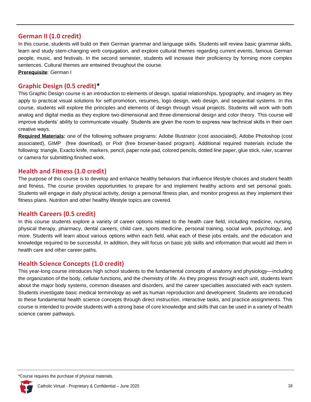### **German II (1.0 credit)**

In this course, students will build on their German grammar and language skills. Students will review basic grammar skills, learn and study stem-changing verb conjugation, and explore cultural themes regarding current events, famous German people, music, and festivals. In the second semester, students will increase their proficiency by forming more complex sentences. Cultural themes are entwined throughout the course.

**Prerequisite**: German I

### **Graphic Design (0.5 credit)\***

This Graphic Design course is an introduction to elements of design, spatial relationships, typography, and imagery as they apply to practical visual solutions for self-promotion, resumes, logo design, web design, and sequential systems. In this course, students will explore the principles and elements of design through visual projects. Students will work with both analog and digital media as they explore two-dimensional and three-dimensional design and color theory. This course will improve students' ability to communicate visually. Students are given the room to express new technical skills in their own creative ways.

**Required Materials:** one of the following software programs: [Adobe Illustrator](http://www.adobe.com/creativecloud/catalog/desktop.html) (cost associated), [Adobe Photoshop](http://www.adobe.com/creativecloud/catalog/desktop.html) (cost associated), [GIMP](http://www.gimp.org/downloads/) (free download), or [Pixlr](https://pixlr.com/editor/) (free browser-based program). Additional required materials include the following: triangle, Exacto knife, markers, pencil, paper note pad, colored pencils, dotted line paper, glue stick, ruler, scanner or camera for submitting finished work.

### **Health and Fitness (1.0 credit)**

The purpose of this course is to develop and enhance healthy behaviors that influence lifestyle choices and student health and fitness. The course provides opportunities to prepare for and implement healthy actions and set personal goals. Students will engage in daily physical activity, design a personal fitness plan, and monitor progress as they implement their fitness plans. Nutrition and other healthy lifestyle topics are covered.

#### **Health Careers (0.5 credit)**

In this course students explore a variety of career options related to the health care field, including medicine, nursing, physical therapy, pharmacy, dental careers, child care, sports medicine, personal training, social work, psychology, and more. Students will learn about various options within each field, what each of these jobs entails, and the education and knowledge required to be successful. In addition, they will focus on basic job skills and information that would aid them in health care and other career paths.

#### **Health Science Concepts (1.0 credit)**

This year-long course introduces high school students to the fundamental concepts of anatomy and physiology—including the organization of the body, cellular functions, and the chemistry of life. As they progress through each unit, students learn about the major body systems, common diseases and disorders, and the career specialties associated with each system. Students investigate basic medical terminology as well as human reproduction and development. Students are introduced to these fundamental health science concepts through direct instruction, interactive tasks, and practice assignments. This course is intended to provide students with a strong base of core knowledge and skills that can be used in a variety of health science career pathways.

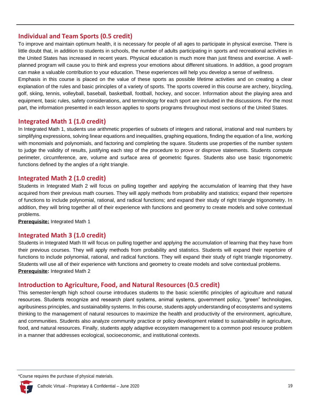# **Individual and Team Sports (0.5 credit)**

To improve and maintain optimum health, it is necessary for people of all ages to participate in physical exercise. There is little doubt that, in addition to students in schools, the number of adults participating in sports and recreational activities in the United States has increased in recent years. Physical education is much more than just fitness and exercise. A wellplanned program will cause you to think and express your emotions about different situations. In addition, a good program can make a valuable contribution to your education. These experiences will help you develop a sense of wellness.

Emphasis in this course is placed on the value of these sports as possible lifetime activities and on creating a clear explanation of the rules and basic principles of a variety of sports. The sports covered in this course are archery, bicycling, golf, skiing, tennis, volleyball, baseball, basketball, football, hockey, and soccer. Information about the playing area and equipment, basic rules, safety considerations, and terminology for each sport are included in the discussions. For the most part, the information presented in each lesson applies to sports programs throughout most sections of the United States.

### **Integrated Math 1 (1.0 credit)**

In Integrated Math 1, students use arithmetic properties of subsets of integers and rational, irrational and real numbers by simplifying expressions, solving linear equations and inequalities, graphing equations, finding the equation of a line, working with monomials and polynomials, and factoring and completing the square. Students use properties of the number system to judge the validity of results, justifying each step of the procedure to prove or disprove statements. Students compute perimeter, circumference, are, volume and surface area of geometric figures. Students also use basic trigonometric functions defined by the angles of a right triangle.

### **Integrated Math 2 (1.0 credit)**

Students in Integrated Math 2 will focus on pulling together and applying the accumulation of learning that they have acquired from their previous math courses. They will apply methods from probability and statistics; expand their repertoire of functions to include polynomial, rational, and radical functions; and expand their study of right triangle trigonometry. In addition, they will bring together all of their experience with functions and geometry to create models and solve contextual problems.

#### **Prerequisite:** Integrated Math 1

#### **Integrated Math 3 (1.0 credit)**

Students in Integrated Math III will focus on pulling together and applying the accumulation of learning that they have from their previous courses. They will apply methods from probability and statistics. Students will expand their repertoire of functions to include polynomial, rational, and radical functions. They will expand their study of right triangle trigonometry. Students will use all of their experience with functions and geometry to create models and solve contextual problems. **Prerequisite:** Integrated Math 2

#### **Introduction to Agriculture, Food, and Natural Resources (0.5 credit)**

This semester-length high school course introduces students to the basic scientific principles of agriculture and natural resources. Students recognize and research plant systems, animal systems, government policy, "green" technologies, agribusiness principles, and sustainability systems. In this course, students apply understanding of ecosystems and systems thinking to the management of natural resources to maximize the health and productivity of the environment, agriculture, and communities. Students also analyze community practice or policy development related to sustainability in agriculture, food, and natural resources. Finally, students apply adaptive ecosystem management to a common pool resource problem in a manner that addresses ecological, socioeconomic, and institutional contexts.

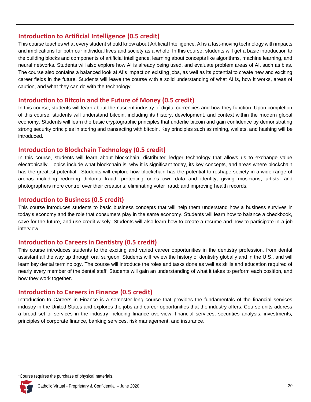### **Introduction to Artificial Intelligence (0.5 credit)**

This course teaches what every student should know about Artificial Intelligence. AI is a fast-moving technology with impacts and implications for both our individual lives and society as a whole. In this course, students will get a basic introduction to the building blocks and components of artificial intelligence, learning about concepts like algorithms, machine learning, and neural networks. Students will also explore how AI is already being used, and evaluate problem areas of AI, such as bias. The course also contains a balanced look at AI's impact on existing jobs, as well as its potential to create new and exciting career fields in the future. Students will leave the course with a solid understanding of what AI is, how it works, areas of caution, and what they can do with the technology.

#### **Introduction to Bitcoin and the Future of Money (0.5 credit)**

In this course, students will learn about the nascent industry of digital currencies and how they function. Upon completion of this course, students will understand bitcoin, including its history, development, and context within the modern global economy. Students will learn the basic cryptographic principles that underlie bitcoin and gain confidence by demonstrating strong security principles in storing and transacting with bitcoin. Key principles such as mining, wallets, and hashing will be introduced.

### **Introduction to Blockchain Technology (0.5 credit)**

In this course, students will learn about blockchain, distributed ledger technology that allows us to exchange value electronically. Topics include what blockchain is, why it is significant today, its key concepts, and areas where blockchain has the greatest potential. Students will explore how blockchain has the potential to reshape society in a wide range of arenas including reducing diploma fraud; protecting one's own data and identity; giving musicians, artists, and photographers more control over their creations; eliminating voter fraud; and improving health records.

#### **Introduction to Business (0.5 credit)**

This course introduces students to basic business concepts that will help them understand how a business survives in today's economy and the role that consumers play in the same economy. Students will learn how to balance a checkbook, save for the future, and use credit wisely. Students will also learn how to create a resume and how to participate in a job interview.

# **Introduction to Careers in Dentistry (0.5 credit)**

This course introduces students to the exciting and varied career opportunities in the dentistry profession, from dental assistant all the way up through oral surgeon. Students will review the history of dentistry globally and in the U.S., and will learn key dental terminology. The course will introduce the roles and tasks done as well as skills and education required of nearly every member of the dental staff. Students will gain an understanding of what it takes to perform each position, and how they work together.

# **Introduction to Careers in Finance (0.5 credit)**

Introduction to Careers in Finance is a semester-long course that provides the fundamentals of the financial services industry in the United States and explores the jobs and career opportunities that the industry offers. Course units address a broad set of services in the industry including finance overview, financial services, securities analysis, investments, principles of corporate finance, banking services, risk management, and insurance.

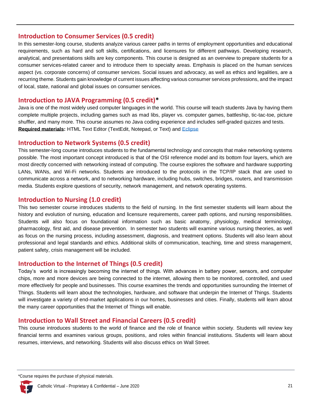#### **Introduction to Consumer Services (0.5 credit)**

In this semester-long course, students analyze various career paths in terms of employment opportunities and educational requirements, such as hard and soft skills, certifications, and licensures for different pathways. Developing research, analytical, and presentations skills are key components. This course is designed as an overview to prepare students for a consumer services-related career and to introduce them to specialty areas. Emphasis is placed on the human services aspect (vs. corporate concerns) of consumer services. Social issues and advocacy, as well as ethics and legalities, are a recurring theme. Students gain knowledge of current issues affecting various consumer services professions, and the impact of local, state, national and global issues on consumer services.

#### **Introduction to JAVA Programming (0.5 credit)\***

Java is one of the most widely used computer languages in the world. This course will teach students Java by having them complete multiple projects, including games such as mad libs, player vs. computer games, battleship, tic-tac-toe, picture shuffler, and many more. This course assumes no Java coding experience and includes self-graded quizzes and tests. **Required materials:** HTML Text Editor (TextEdit, Notepad, or Text) and [Eclipse](http://www.eclipse.org/downloads/eclipse-packages/)

#### **Introduction to Network Systems (0.5 credit)**

This semester-long course introduces students to the fundamental technology and concepts that make networking systems possible. The most important concept introduced is that of the OSI reference model and its bottom four layers, which are most directly concerned with networking instead of computing. The course explores the software and hardware supporting LANs, WANs, and Wi-Fi networks. Students are introduced to the protocols in the TCP/IP stack that are used to communicate across a network, and to networking hardware, including hubs, switches, bridges, routers, and transmission media. Students explore questions of security, network management, and network operating systems.

#### **Introduction to Nursing (1.0 credit)**

This two semester course introduces students to the field of nursing. In the first semester students will learn about the history and evolution of nursing, education and licensure requirements, career path options, and nursing responsibilities. Students will also focus on foundational information such as basic anatomy, physiology, medical terminology, pharmacology, first aid, and disease prevention. In semester two students will examine various nursing theories, as well as focus on the nursing process, including assessment, diagnosis, and treatment options. Students will also learn about professional and legal standards and ethics. Additional skills of communication, teaching, time and stress management, patient safety, crisis management will be included.

#### **Introduction to the Internet of Things (0.5 credit)**

Today's world is increasingly becoming the internet of things. With advances in battery power, sensors, and computer chips, more and more devices are being connected to the internet, allowing them to be monitored, controlled, and used more effectively for people and businesses. This course examines the trends and opportunities surrounding the Internet of Things. Students will learn about the technologies, hardware, and software that underpin the Internet of Things. Students will investigate a variety of end-market applications in our homes, businesses and cities. Finally, students will learn about the many career opportunities that the Internet of Things will enable.

#### **Introduction to Wall Street and Financial Careers (0.5 credit)**

This course introduces students to the world of finance and the role of finance within society. Students will review key financial terms and examines various groups, positions, and roles within financial institutions. Students will learn about resumes, interviews, and networking. Students will also discuss ethics on Wall Street.

\*Course requires the purchase of physical materials.

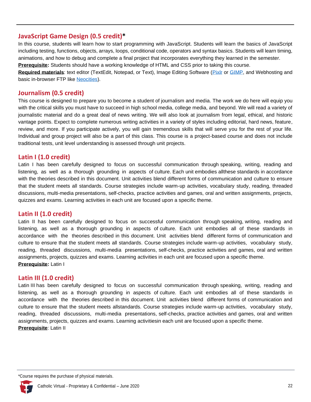#### **JavaScript Game Design (0.5 credit)\***

In this course, students will learn how to start programming with JavaScript. Students will learn the basics of JavaScript including testing, functions, objects, arrays, loops, conditional code, operators and syntax basics. Students will learn timing, animations, and how to debug and complete a final project that incorporates everything they learned in the semester.

**Prerequisite:** Students should have a working knowledge of HTML and CSS prior to taking this course.

**Required materials**: text editor (TextEdit, Notepad, or Text), Image Editing Software [\(Pixlr](https://pixlr.com/editor/) or [GIMP,](http://www.gimp.org/downloads/) and Webhosting and basic in-browser FTP like [Neocities\)](https://www.neocities.org/).

#### **Journalism (0.5 credit)**

This course is designed to prepare you to become a student of journalism and media. The work we do here will equip you with the critical skills you must have to succeed in high school media, college media, and beyond. We will read a variety of journalistic material and do a great deal of news writing. We will also look at journalism from legal, ethical, and historic vantage points. Expect to complete numerous writing activities in a variety of styles including editorial, hard news, feature, review, and more. If you participate actively, you will gain tremendous skills that will serve you for the rest of your life. Individual and group project will also be a part of this class. This course is a project-based course and does not include traditional tests, unit level understanding is assessed through unit projects.

### **Latin I (1.0 credit)**

Latin I has been carefully designed to focus on successful communication through speaking, writing, reading and listening, as well as a thorough grounding in aspects of culture. Each unit embodies allthese standards in accordance with the theories described in this document. Unit activities blend different forms of communication and culture to ensure that the student meets all standards. Course strategies include warm-up activities, vocabulary study, reading, threaded discussions, multi-media presentations, self-checks, practice activities and games, oral and written assignments, projects, quizzes and exams. Learning activities in each unit are focused upon a specific theme.

#### **Latin II (1.0 credit)**

Latin II has been carefully designed to focus on successful communication through speaking, writing, reading and listening, as well as a thorough grounding in aspects of culture. Each unit embodies all of these standards in accordance with the theories described in this document. Unit activities blend different forms of communication and culture to ensure that the student meets all standards. Course strategies include warm-up activities, vocabulary study, reading, threaded discussions, multi-media presentations, self-checks, practice activities and games, oral and written assignments, projects, quizzes and exams. Learning activities in each unit are focused upon a specific theme. **Prerequisite:** Latin I

#### **Latin III (1.0 credit)**

Latin III has been carefully designed to focus on successful communication through speaking, writing, reading and listening, as well as a thorough grounding in aspects of culture. Each unit embodies all of these standards in accordance with the theories described in this document. Unit activities blend different forms of communication and culture to ensure that the student meets allstandards. Course strategies include warm-up activities, vocabulary study, reading, threaded discussions, multi-media presentations, self-checks, practice activities and games, oral and written assignments, projects, quizzes and exams. Learning activitiesin each unit are focused upon a specific theme. **Prerequisite**: Latin II

<sup>\*</sup>Course requires the purchase of physical materials.

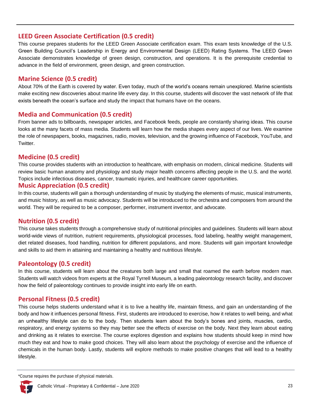### **LEED Green Associate Certification (0.5 credit)**

This course prepares students for the LEED Green Associate certification exam. This exam tests knowledge of the U.S. Green Building Council's Leadership in Energy and Environmental Design (LEED) Rating Systems. The LEED Green Associate demonstrates knowledge of green design, construction, and operations. It is the prerequisite credential to advance in the field of environment, green design, and green construction.

### **Marine Science (0.5 credit)**

About 70% of the Earth is covered by water. Even today, much of the world's oceans remain unexplored. Marine scientists make exciting new discoveries about marine life every day. In this course, students will discover the vast network of life that exists beneath the ocean's surface and study the impact that humans have on the oceans.

#### **Media and Communication (0.5 credit)**

From banner ads to billboards, newspaper articles, and Facebook feeds, people are constantly sharing ideas. This course looks at the many facets of mass media. Students will learn how the media shapes every aspect of our lives. We examine the role of newspapers, books, magazines, radio, movies, television, and the growing influence of Facebook, YouTube, and Twitter.

#### **Medicine (0.5 credit)**

This course provides students with an introduction to healthcare, with emphasis on modern, clinical medicine. Students will review basic human anatomy and physiology and study major health concerns affecting people in the U.S. and the world. Topics include infectious diseases, cancer, traumatic injuries, and healthcare career opportunities.

#### **Music Appreciation (0.5 credit)**

In this course, students will gain a thorough understanding of music by studying the elements of music, musical instruments, and music history, as well as music advocacy. Students will be introduced to the orchestra and composers from around the world. They will be required to be a composer, performer, instrument inventor, and advocate.

# **Nutrition (0.5 credit)**

This course takes students through a comprehensive study of nutritional principles and guidelines. Students will learn about world-wide views of nutrition, nutrient requirements, physiological processes, food labeling, healthy weight management, diet related diseases, food handling, nutrition for different populations, and more. Students will gain important knowledge and skills to aid them in attaining and maintaining a healthy and nutritious lifestyle.

# **Paleontology (0.5 credit)**

In this course, students will learn about the creatures both large and small that roamed the earth before modern man. Students will watch videos from experts at the Royal Tyrrell Museum, a leading paleontology research facility, and discover how the field of paleontology continues to provide insight into early life on earth.

# **Personal Fitness (0.5 credit)**

This course helps students understand what it is to live a healthy life, maintain fitness, and gain an understanding of the body and how it influences personal fitness. First, students are introduced to exercise, how it relates to well being, and what an unhealthy lifestyle can do to the body. Then students learn about the body's bones and joints, muscles, cardio, respiratory, and energy systems so they may better see the effects of exercise on the body. Next they learn about eating and drinking as it relates to exercise. The course explores digestion and explains how students should keep in mind how much they eat and how to make good choices. They will also learn about the psychology of exercise and the influence of chemicals in the human body. Lastly, students will explore methods to make positive changes that will lead to a healthy lifestyle.

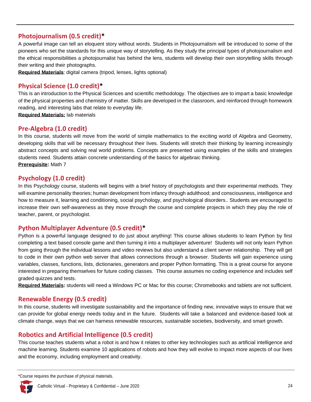# **Photojournalism (0.5 credit)\***

A powerful image can tell an eloquent story without words. Students in Photojournalism will be introduced to some of the pioneers who set the standards for this unique way of storytelling. As they study the principal types of photojournalism and the ethical responsibilities a photojournalist has behind the lens, students will develop their own storytelling skills through their writing and their photographs.

**Required Materials**: digital camera (tripod, lenses, lights optional)

# **Physical Science (1.0 credit)\***

This is an introduction to the Physical Sciences and scientific methodology. The objectives are to impart a basic knowledge of the physical properties and chemistry of matter. Skills are developed in the classroom, and reinforced through homework reading, and interesting labs that relate to everyday life.

**Required Materials:** lab materials

# **Pre-Algebra (1.0 credit)**

In this course, students will move from the world of simple mathematics to the exciting world of Algebra and Geometry, developing skills that will be necessary throughout their lives. Students will stretch their thinking by learning increasingly abstract concepts and solving real world problems. Concepts are presented using examples of the skills and strategies students need. Students attain concrete understanding of the basics for algebraic thinking. **Prerequisite:** Math 7

# **Psychology (1.0 credit)**

In this Psychology course, students will begins with a brief history of psychologists and their experimental methods. They will examine personality theories; human development from infancy through adulthood; and consciousness, intelligence and how to measure it, learning and conditioning, social psychology, and psychological disorders.. Students are encouraged to increase their own self-awareness as they move through the course and complete projects in which they play the role of teacher, parent, or psychologist.

# **Python Multiplayer Adventure (0.5 credit)\***

Python is a powerful language designed to do just about anything! This course allows students to learn Python by first completing a text based console game and then turning it into a multiplayer adventure! Students will not only learn Python from going through the individual lessons and video reviews but also understand a client server relationship. They will get to code in their own python web server that allows connections through a browser. Students will gain experience using variables, classes, functions, lists, dictionaries, generators and proper Python formatting. This is a great course for anyone interested in preparing themselves for future coding classes. This course assumes no coding experience and includes self graded quizzes and tests.

**Required Materials:** students will need a Windows PC or Mac for this course; Chromebooks and tablets are not sufficient.

# **Renewable Energy (0.5 credit)**

In this course, students will investigate sustainability and the importance of finding new, innovative ways to ensure that we can provide for global energy needs today and in the future. Students will take a balanced and evidence-based look at climate change, ways that we can harness renewable resources, sustainable societies, biodiversity, and smart growth.

# **Robotics and Artificial Intelligence (0.5 credit)**

This course teaches students what a robot is and how it relates to other key technologies such as artificial intelligence and machine learning. Students examine 10 applications of robots and how they will evolve to impact more aspects of our lives and the economy, including employment and creativity.

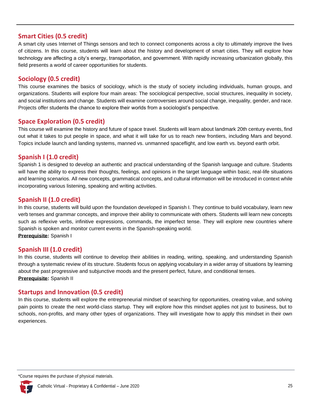# **Smart Cities (0.5 credit)**

A smart city uses Internet of Things sensors and tech to connect components across a city to ultimately improve the lives of citizens. In this course, students will learn about the history and development of smart cities. They will explore how technology are affecting a city's energy, transportation, and government. With rapidly increasing urbanization globally, this field presents a world of career opportunities for students.

# **Sociology (0.5 credit)**

This course examines the basics of sociology, which is the study of society including individuals, human groups, and organizations. Students will explore four main areas: The sociological perspective, social structures, inequality in society, and social institutions and change. Students will examine controversies around social change, inequality, gender, and race. Projects offer students the chance to explore their worlds from a sociologist's perspective.

### **Space Exploration (0.5 credit)**

This course will examine the history and future of space travel. Students will learn about landmark 20th century events, find out what it takes to put people in space, and what it will take for us to reach new frontiers, including Mars and beyond. Topics include launch and landing systems, manned vs. unmanned spaceflight, and low earth vs. beyond earth orbit.

# **Spanish I (1.0 credit)**

Spanish 1 is designed to develop an authentic and practical understanding of the Spanish language and culture. Students will have the ability to express their thoughts, feelings, and opinions in the target language within basic, real-life situations and learning scenarios. All new concepts, grammatical concepts, and cultural information will be introduced in context while incorporating various listening, speaking and writing activities.

### **Spanish II (1.0 credit)**

In this course, students will build upon the foundation developed in Spanish I. They continue to build vocabulary, learn new verb tenses and grammar concepts, and improve their ability to communicate with others. Students will learn new concepts such as reflexive verbs, infinitive expressions, commands, the imperfect tense. They will explore new countries where Spanish is spoken and monitor current events in the Spanish-speaking world. **Prerequisite:** Spanish I

# **Spanish III (1.0 credit)**

In this course, students will continue to develop their abilities in reading, writing, speaking, and understanding Spanish through a systematic review of its structure. Students focus on applying vocabulary in a wider array of situations by learning about the past progressive and subjunctive moods and the present perfect, future, and conditional tenses. **Prerequisite:** Spanish II

#### **Startups and Innovation (0.5 credit)**

In this course, students will explore the entrepreneurial mindset of searching for opportunities, creating value, and solving pain points to create the next world-class startup. They will explore how this mindset applies not just to business, but to schools, non-profits, and many other types of organizations. They will investigate how to apply this mindset in their own experiences.

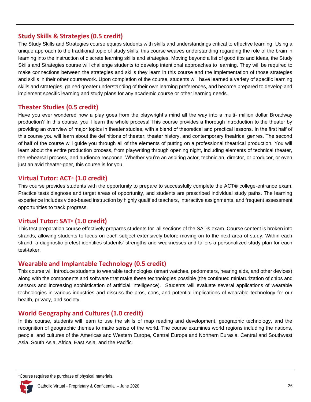# **Study Skills & Strategies (0.5 credit)**

The Study Skills and Strategies course equips students with skills and understandings critical to effective learning. Using a unique approach to the traditional topic of study skills, this course weaves understanding regarding the role of the brain in learning into the instruction of discrete learning skills and strategies. Moving beyond a list of good tips and ideas, the Study Skills and Strategies course will challenge students to develop intentional approaches to learning. They will be required to make connections between the strategies and skills they learn in this course and the implementation of those strategies and skills in their other coursework. Upon completion of the course, students will have learned a variety of specific learning skills and strategies, gained greater understanding of their own learning preferences, and become prepared to develop and implement specific learning and study plans for any academic course or other learning needs.

# **Theater Studies (0.5 credit)**

Have you ever wondered how a play goes from the playwright's mind all the way into a multi- million dollar Broadway production? In this course, you'll learn the whole process! This course provides a thorough introduction to the theater by providing an overview of major topics in theater studies, with a blend of theoretical and practical lessons. In the first half of this course you will learn about the definitions of theater, theater history, and contemporary theatrical genres. The second of half of the course will guide you through all of the elements of putting on a professional theatrical production. You will learn about the entire production process, from playwriting through opening night, including elements of technical theater, the rehearsal process, and audience response. Whether you're an aspiring actor, technician, director, or producer, or even just an avid theater-goer, this course is for you.

# **Virtual Tutor: ACT® (1.0 credit)**

This course provides students with the opportunity to prepare to successfully complete the ACT® college-entrance exam. Practice tests diagnose and target areas of opportunity, and students are prescribed individual study paths. The learning experience includes video-based instruction by highly qualified teachers, interactive assignments, and frequent assessment opportunities to track progress.

# **Virtual Tutor: SAT® (1.0 credit)**

This test preparation course effectively prepares students for all sections of the SAT® exam. Course content is broken into strands, allowing students to focus on each subject extensively before moving on to the next area of study. Within each strand, a diagnostic pretest identifies students' strengths and weaknesses and tailors a personalized study plan for each test-taker.

# **Wearable and Implantable Technology (0.5 credit)**

This course will introduce students to wearable technologies (smart watches, pedometers, hearing aids, and other devices) along with the components and software that make these technologies possible (the continued miniaturization of chips and sensors and increasing sophistication of artificial intelligence). Students will evaluate several applications of wearable technologies in various industries and discuss the pros, cons, and potential implications of wearable technology for our health, privacy, and society.

# **World Geography and Cultures (1.0 credit)**

In this course, students will learn to use the skills of map reading and development, geographic technology, and the recognition of geographic themes to make sense of the world. The course examines world regions including the nations, people, and cultures of the Americas and Western Europe, Central Europe and Northern Eurasia, Central and Southwest Asia, South Asia, Africa, East Asia, and the Pacific.

<span id="page-27-0"></span><sup>\*</sup>Course requires the purchase of physical materials.

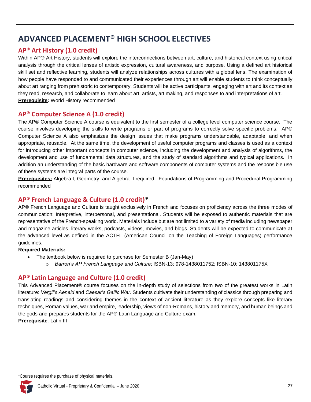# **ADVANCED PLACEMENT® HIGH SCHOOL ELECTIVES**

# **AP® Art History (1.0 credit)**

Within AP® Art History, students will explore the interconnections between art, culture, and historical context using critical analysis through the critical lenses of artistic expression, cultural awareness, and purpose. Using a defined art historical skill set and reflective learning, students will analyze relationships across cultures with a global lens. The examination of how people have responded to and communicated their experiences through art will enable students to think conceptually about art ranging from prehistoric to contemporary. Students will be active participants, engaging with art and its context as they read, research, and collaborate to learn about art, artists, art making, and responses to and interpretations of art. **Prerequisite:** World History recommended

# **AP® Computer Science A (1.0 credit)**

The AP® Computer Science A course is equivalent to the first semester of a college level computer science course. The course involves developing the skills to write programs or part of programs to correctly solve specific problems. AP® Computer Science A also emphasizes the design issues that make programs understandable, adaptable, and when appropriate, reusable. At the same time, the development of useful computer programs and classes is used as a context for introducing other important concepts in computer science, including the development and analysis of algorithms, the development and use of fundamental data structures, and the study of standard algorithms and typical applications. In addition an understanding of the basic hardware and software components of computer systems and the responsible use of these systems are integral parts of the course.

**Prerequisites:** Algebra I, Geometry, and Algebra II required. Foundations of Programming and Procedural Programming recommended

### **AP® French Language & Culture (1.0 credit)\***

AP® French Language and Culture is taught exclusively in French and focuses on proficiency across the three modes of communication: Interpretive, interpersonal, and presentational. Students will be exposed to authentic materials that are representative of the French-speaking world. Materials include but are not limited to a variety of media including newspaper and magazine articles, literary works, podcasts, videos, movies, and blogs. Students will be expected to communicate at the advanced level as defined in the ACTFL (American Council on the Teaching of Foreign Languages) performance guidelines.

#### **Required Materials:**

- The textbook below is required to purchase for Semester B (Jan-May)
	- o *Barron's AP French Language and Culture*; ISBN-13: 978-1438011752; ISBN-10: 143801175X

# **AP® Latin Language and Culture (1.0 credit)**

This Advanced Placement® course focuses on the in-depth study of selections from two of the greatest works in Latin literature: *Vergil's Aeneid* and *Caesar's Gallic War*. Students cultivate their understanding of classics through preparing and translating readings and considering themes in the context of ancient literature as they explore concepts like literary techniques, Roman values, war and empire, leadership, views of non-Romans, history and memory, and human beings and the gods and prepares students for the AP® Latin Language and Culture exam.

**Prerequisite**: Latin III

<sup>\*</sup>Course requires the purchase of physical materials.

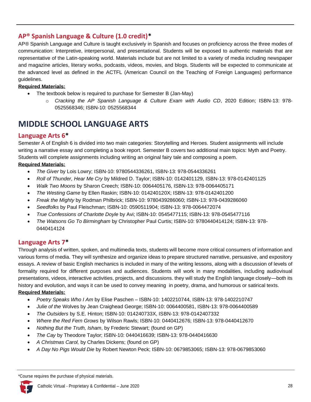# **AP® Spanish Language & Culture (1.0 credit)\***

AP® Spanish Language and Culture is taught exclusively in Spanish and focuses on proficiency across the three modes of communication: Interpretive, interpersonal, and presentational. Students will be exposed to authentic materials that are representative of the Latin-speaking world. Materials include but are not limited to a variety of media including newspaper and magazine articles, literary works, podcasts, videos, movies, and blogs. Students will be expected to communicate at the advanced level as defined in the ACTFL (American Council on the Teaching of Foreign Languages) performance guidelines.

#### **Required Materials:**

- The textbook below is required to purchase for Semester B (Jan-May)
	- o *Cracking the AP Spanish Language & Culture Exam with Audio CD*, 2020 Edition; ISBN-13: 978- 0525568346; ISBN-10: 0525568344

# <span id="page-29-0"></span>**MIDDLE SCHOOL LANGUAGE ARTS**

# **Language Arts 6\***

Semester A of English 6 is divided into two main categories: Storytelling and Heroes. Student assignments will include writing a narrative essay and completing a book report. Semester B covers two additional main topics: Myth and Poetry. Students will complete assignments including writing an original fairy tale and composing a poem.

#### **Required Materials:**

- *The Giver* by Lois Lowry; ISBN-10: 9780544336261, ISBN-13: 978-0544336261
- *Roll of Thunder, Hear Me Cry* by Mildred D. Taylor; ISBN-10: 0142401129, ISBN-13: 978-0142401125
- *Walk Two Moons* by Sharon Creech; ISBN-10: 0064405176, ISBN-13: 978-0064405171
- *The Westing Game* by Ellen Raskin; ISBN-10: 014240120X; ISBN-13: 978-0142401200
- *Freak the Mighty* by Rodman Philbrick; ISBN-10: 9780439286060; ISBN-13: 978-0439286060
- *Seedfolks* by Paul Fleischman; ISBN-10: 0590511904; ISBN-13: 978-0064472074
- *True Confessions of Charlotte Doyle* by Avi; ISBN-10: 0545477115; ISBN-13: 978-0545477116
- *The Watsons Go To Birmingham* by Christopher Paul Curtis; ISBN-10: 9780440414124; ISBN-13: 978- 0440414124

# **Language Arts 7\***

Through analysis of written, spoken, and multimedia texts, students will become more critical consumers of information and various forms of media. They will synthesize and organize ideas to prepare structured narrative, persuasive, and expository essays. A review of basic English mechanics is included in many of the writing lessons, along with a discussion of levels of formality required for different purposes and audiences. Students will work in many modalities, including audiovisual presentations, videos, interactive activities, projects, and discussions. they will study the English language closely—both its history and evolution, and ways it can be used to convey meaning in poetry, drama, and humorous or satirical texts. **Required Materials:**

#### • *Poetry Speaks Who I Am* by Elise Paschen *–* ISBN-10: 1402210744, ISBN-13: 978-1402210747

- *Julie of the* Wolves by Jean Craighead George; ISBN-10: 0064400581, ISBN-13: 978-0064400589
- *The Outsiders* by S.E. Hinton; ISBN-10: 014240733X, ISBN-13: 978-0142407332
- *Where the Red Fern Grows* by Wilson Rawls; ISBN-10: 0440412676; ISBN-13: 978-0440412670
- *Nothing But the Truth, Isham*, by Frederic Stewart; (found on GP)
- *The Cay* by Theodore Taylor; ISBN-10: 0440416639; ISBN-13: 978-0440416630
- *A Christmas Carol,* by Charles Dickens; (found on GP)
- *A Day No Pigs Would Die* by Robert Newton Peck; ISBN-10: 0679853065; ISBN-13: 978-0679853060

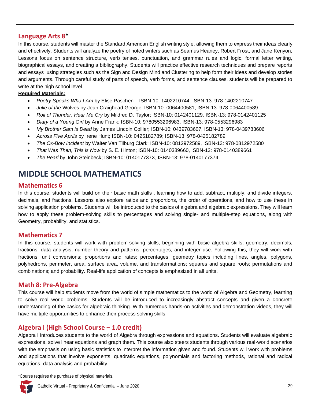# **Language Arts 8\***

In this course, students will master the Standard American English writing style, allowing them to express their ideas clearly and effectively. Students will analyze the poetry of noted writers such as Seamus Heaney, Robert Frost, and Jane Kenyon, Lessons focus on sentence structure, verb tenses, punctuation, and grammar rules and logic, formal letter writing, biographical essays, and creating a bibliography. Students will practice effective research techniques and prepare reports and essays using strategies such as the Sign and Design Mind and Clustering to help form their ideas and develop stories and arguments. Through careful study of parts of speech, verb forms, and sentence clauses, students will be prepared to write at the high school level.

#### **Required Materials:**

- *Poetry Speaks Who I Am* by Elise Paschen ISBN-10: 1402210744, ISBN-13: 978-1402210747
- *Julie of the* Wolves by Jean Craighead George; ISBN-10: 0064400581, ISBN-13: 978-0064400589
- *Roll of Thunder, Hear Me Cry* by Mildred D. Taylor; ISBN-10: 0142401129, ISBN-13: 978-0142401125
- *Diary of a Young Girl* by Anne Frank; ISBN-10: 9780553296983, ISBN-13: 978-0553296983
- *My Brother Sam is Dead* by James Lincoln Collier; ISBN-10: 0439783607, ISBN-13: 978-0439783606
- *Across Five Aprils* by Irene Hunt; ISBN-10: 0425182789; ISBN-13: 978-0425182789
- *The Ox-Bow Incident* by Walter Van Tilburg Clark; ISBN-10: 0812972589, ISBN-13: 978-0812972580
- *That Was Then, This is Now* by S. E. Hinton; ISBN-10: 0140389660, ISBN-13: 978-0140389661
- *The Pearl* by John Steinbeck; ISBN-10: 014017737X, ISBN-13: 978-0140177374

# <span id="page-30-0"></span>**MIDDLE SCHOOL MATHEMATICS**

#### **Mathematics 6**

In this course, students will build on their basic math skills , learning how to add, subtract, multiply, and divide integers, decimals, and fractions. Lessons also explore ratios and proportions, the order of operations, and how to use these in solving application problems. Students will be introduced to the basics of algebra and algebraic expressions. They will learn how to apply these problem-solving skills to percentages and solving single- and multiple-step equations, along with Geometry, probability, and statistics.

#### **Mathematics 7**

In this course, students will work with problem-solving skills, beginning with basic algebra skills, geometry, decimals, fractions, data analysis, number theory and patterns, percentages, and integer use. Following this, they will work with fractions; unit conversions; proportions and rates; percentages; geometry topics including lines, angles, polygons, polyhedrons, perimeter, area, surface area, volume, and transformations; squares and square roots; permutations and combinations; and probability. Real-life application of concepts is emphasized in all units.

#### **Math 8: Pre-Algebra**

This course will help students move from the world of simple mathematics to the world of Algebra and Geometry, learning to solve real world problems. Students will be introduced to increasingly abstract concepts and given a concrete understanding of the basics for algebraic thinking. With numerous hands-on activities and demonstration videos, they will have multiple opportunities to enhance their process solving skills.

# **Algebra I (High School Course – 1.0 credit)**

Algebra I introduces students to the world of Algebra through expressions and equations. Students will evaluate algebraic expressions, solve linear equations and graph them. This course also steers students through various real-world scenarios with the emphasis on using basic statistics to interpret the information given and found. Students will work with problems and applications that involve exponents, quadratic equations, polynomials and factoring methods, rational and radical equations, data analysis and probability.

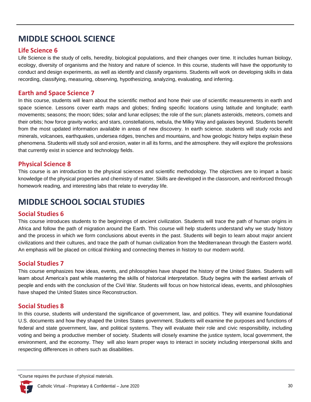# <span id="page-31-0"></span>**MIDDLE SCHOOL SCIENCE**

# **Life Science 6**

Life Science is the study of cells, heredity, biological populations, and their changes over time. It includes human biology, ecology, diversity of organisms and the history and nature of science. In this course, students will have the opportunity to conduct and design experiments, as well as identify and classify organisms. Students will work on developing skills in data recording, classifying, measuring, observing, hypothesizing, analyzing, evaluating, and inferring.

# **Earth and Space Science 7**

In this course, students will learn about the scientific method and hone their use of scientific measurements in earth and space science. Lessons cover earth maps and globes; finding specific locations using latitude and longitude; earth movements; seasons; the moon; tides; solar and lunar eclipses; the role of the sun; planets asteroids, meteors, comets and their orbits; how force gravity works; and stars, constellations, nebula, the Milky Way and galaxies beyond. Students benefit from the most updated information available in areas of new discovery. In earth science. students will study rocks and minerals, volcanoes, earthquakes, undersea ridges, trenches and mountains, and how geologic history helps explain these phenomena. Students will study soil and erosion, water in all its forms, and the atmosphere. they will explore the professions that currently exist in science and technology fields.

# **Physical Science 8**

This course is an introduction to the physical sciences and scientific methodology. The objectives are to impart a basic knowledge of the physical properties and chemistry of matter. Skills are developed in the classroom, and reinforced through homework reading, and interesting labs that relate to everyday life.

# <span id="page-31-1"></span>**MIDDLE SCHOOL SOCIAL STUDIES**

# **Social Studies 6**

This course introduces students to the beginnings of ancient civilization. Students will trace the path of human origins in Africa and follow the path of migration around the Earth. This course will help students understand why we study history and the process in which we form conclusions about events in the past. Students will begin to learn about major ancient civilizations and their cultures, and trace the path of human civilization from the Mediterranean through the Eastern world. An emphasis will be placed on critical thinking and connecting themes in history to our modern world.

# **Social Studies 7**

This course emphasizes how ideas, events, and philosophies have shaped the history of the United States. Students will learn about America's past while mastering the skills of historical interpretation. Study begins with the earliest arrivals of people and ends with the conclusion of the Civil War. Students will focus on how historical ideas, events, and philosophies have shaped the United States since Reconstruction.

# **Social Studies 8**

In this course, students will understand the significance of government, law, and politics. They will examine foundational U.S. documents and how they shaped the Unites States government. Students will examine the purposes and functions of federal and state government, law, and political systems. They will evaluate their role and civic responsibility, including voting and being a productive member of society. Students will closely examine the justice system, local government, the environment, and the economy. They will also learn proper ways to interact in society including interpersonal skills and respecting differences in others such as disabilities.

<sup>\*</sup>Course requires the purchase of physical materials.

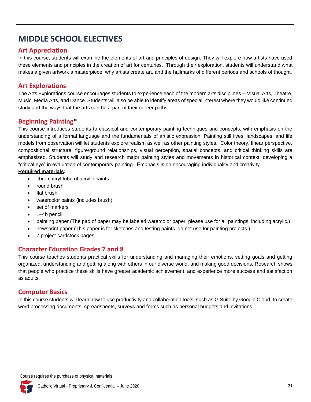# <span id="page-32-0"></span>**MIDDLE SCHOOL ELECTIVES**

# **Art Appreciation**

In this course, students will examine the elements of art and principles of design. They will explore how artists have used these elements and principles in the creation of art for centuries. Through their exploration, students will understand what makes a given artwork a masterpiece, why artists create art, and the hallmarks of different periods and schools of thought.

# **Art Explorations**

The Arts Explorations course encourages students to experience each of the modern arts disciplines -- Visual Arts, Theatre, Music, Media Arts, and Dance. Students will also be able to identify areas of special interest where they would like continued study and the ways that the arts can be a part of their career paths.

# **Beginning Painting\***

This course introduces students to classical and contemporary painting techniques and concepts, with emphasis on the understanding of a formal language and the fundamentals of artistic expression. Painting still lives, landscapes, and life models from observation will let students explore realism as well as other painting styles. Color theory, linear perspective, compositional structure, figure/ground relationships, visual perception, spatial concepts, and critical thinking skills are emphasized. Students will study and research major painting styles and movements in historical context, developing a "critical eye" in evaluation of contemporary painting. Emphasis is on encouraging individuality and creativity.

#### **Required materials:**

- chromacryl tube of acrylic paints
- round brush
- flat brush
- watercolor paints (includes brush)
- set of markers
- 1–4b pencil
- painting paper (The pad of paper may be labeled watercolor paper. please use for all paintings, including acrylic.)
- newsprint paper (This paper is for sketches and testing paints. do not use for painting projects.)
- 7 project cardstock pages

# **Character Education Grades 7 and 8**

This course teaches students practical skills for understanding and managing their emotions, setting goals and getting organized, understanding and getting along with others in our diverse world, and making good decisions. Research shows that people who practice these skills have greater academic achievement, and experience more success and satisfaction as adults.

# **Computer Basics**

In this course students will learn how to use productivity and collaboration tools, such as G Suite by Google Cloud, to create word processing documents, spreadsheets, surveys and forms such as personal budgets and invitations.

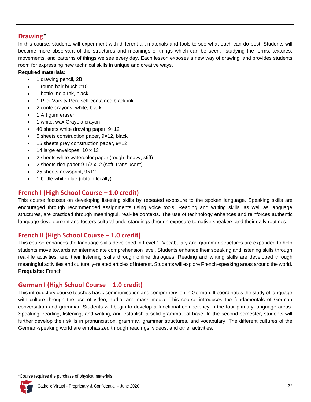# **Drawing\***

In this course, students will experiment with different art materials and tools to see what each can do best. Students will become more observant of the structures and meanings of things which can be seen, studying the forms, textures, movements, and patterns of things we see every day. Each lesson exposes a new way of drawing. and provides students room for expressing new technical skills in unique and creative ways.

#### **Required materials:**

- 1 drawing pencil, 2B
- 1 round hair brush #10
- 1 bottle India Ink, black
- 1 Pilot Varsity Pen, self-contained black ink
- 2 conté crayons: white, black
- 1 Art gum eraser
- 1 white, wax Crayola crayon
- 40 sheets white drawing paper, 9×12
- 5 sheets construction paper, 9×12, black
- 15 sheets grey construction paper, 9×12
- 14 large envelopes, 10 x 13
- 2 sheets white watercolor paper (rough, heavy, stiff)
- 2 sheets rice paper 9 1/2 x12 (soft, translucent)
- 25 sheets newsprint, 9×12
- 1 bottle white glue (obtain locally)

# **French I (High School Course – 1.0 credit)**

This course focuses on developing listening skills by repeated exposure to the spoken language. Speaking skills are encouraged through recommended assignments using voice tools. Reading and writing skills, as well as language structures, are practiced through meaningful, real-life contexts. The use of technology enhances and reinforces authentic language development and fosters cultural understandings through exposure to native speakers and their daily routines.

# **French II (High School Course – 1.0 credit)**

This course enhances the language skills developed in Level 1. Vocabulary and grammar structures are expanded to help students move towards an intermediate comprehension level. Students enhance their speaking and listening skills through real-life activities, and their listening skills through online dialogues. Reading and writing skills are developed through meaningful activities and culturally-related articles of interest. Students will explore French-speaking areas around the world. **Prequisite:** French I

# **German I (High School Course – 1.0 credit)**

This introductory course teaches basic communication and comprehension in German. It coordinates the study of language with culture through the use of video, audio, and mass media. This course introduces the fundamentals of German conversation and grammar. Students will begin to develop a functional competency in the four primary language areas: Speaking, reading, listening, and writing; and establish a solid grammatical base. In the second semester, students will further develop their skills in pronunciation, grammar, grammar structures, and vocabulary. The different cultures of the German-speaking world are emphasized through readings, videos, and other activities.

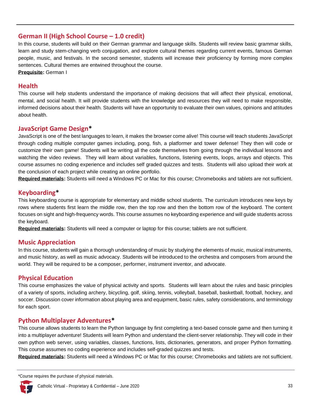# **German II (High School Course – 1.0 credit)**

In this course, students will build on their German grammar and language skills. Students will review basic grammar skills, learn and study stem-changing verb conjugation, and explore cultural themes regarding current events, famous German people, music, and festivals. In the second semester, students will increase their proficiency by forming more complex sentences. Cultural themes are entwined throughout the course.

**Prequisite:** German I

#### **Health**

This course will help students understand the importance of making decisions that will affect their physical, emotional, mental, and social health. It will provide students with the knowledge and resources they will need to make responsible, informed decisions about their health. Students will have an opportunity to evaluate their own values, opinions and attitudes about health.

### **JavaScript Game Design\***

JavaScript is one of the best languages to learn, it makes the browser come alive! This course will teach students JavaScript through coding multiple computer games including, pong, fish, a platformer and tower defense! They then will code or customize their own game! Students will be writing all the code themselves from going through the individual lessons and watching the video reviews. They will learn about variables, functions, listening events, loops, arrays and objects. This course assumes no coding experience and includes self graded quizzes and tests. Students will also upload their work at the conclusion of each project while creating an online portfolio.

**Required materials:** Students will need a Windows PC or Mac for this course; Chromebooks and tablets are not sufficient.

# **Keyboarding\***

This keyboarding course is appropriate for elementary and middle school students. The curriculum introduces new keys by rows where students first learn the middle row, then the top row and then the bottom row of the keyboard. The content focuses on sight and high-frequency words. This course assumes no keyboarding experience and will guide students across the keyboard.

**Required materials:** Students will need a computer or laptop for this course; tablets are not sufficient.

#### **Music Appreciation**

In this course, students will gain a thorough understanding of music by studying the elements of music, musical instruments, and music history, as well as music advocacy. Students will be introduced to the orchestra and composers from around the world. They will be required to be a composer, performer, instrument inventor, and advocate.

#### **Physical Education**

This course emphasizes the value of physical activity and sports. Students will learn about the rules and basic principles of a variety of sports, including archery, bicycling, golf, skiing, tennis, volleyball, baseball, basketball, football, hockey, and soccer. Discussion cover information about playing area and equipment, basic rules, safety considerations, and terminology for each sport.

# **Python Multiplayer Adventures\***

This course allows students to learn the Python language by first completing a text-based console game and then turning it into a multiplayer adventure! Students will learn Python and understand the client-server relationship. They will code in their own python web server, using variables, classes, functions, lists, dictionaries, generators, and proper Python formatting. This course assumes no coding experience and includes self-graded quizzes and tests.

**Required materials:** Students will need a Windows PC or Mac for this course; Chromebooks and tablets are not sufficient.

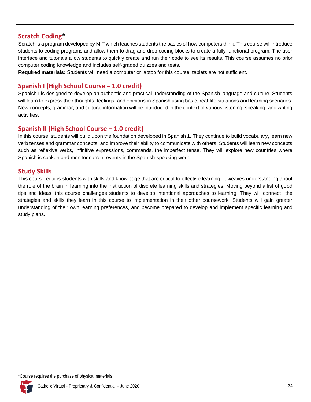# **Scratch Coding\***

Scratch is a program developed by MIT which teaches students the basics of how computers think. This course will introduce students to coding programs and allow them to drag and drop coding blocks to create a fully functional program. The user interface and tutorials allow students to quickly create and run their code to see its results. This course assumes no prior computer coding knowledge and includes self-graded quizzes and tests.

**Required materials:** Students will need a computer or laptop for this course; tablets are not sufficient.

# **Spanish I (High School Course – 1.0 credit)**

Spanish I is designed to develop an authentic and practical understanding of the Spanish language and culture. Students will learn to express their thoughts, feelings, and opinions in Spanish using basic, real-life situations and learning scenarios. New concepts, grammar, and cultural information will be introduced in the context of various listening, speaking, and writing activities.

# **Spanish II (High School Course – 1.0 credit)**

In this course, students will build upon the foundation developed in Spanish 1. They continue to build vocabulary, learn new verb tenses and grammar concepts, and improve their ability to communicate with others. Students will learn new concepts such as reflexive verbs, infinitive expressions, commands, the imperfect tense. They will explore new countries where Spanish is spoken and monitor current events in the Spanish-speaking world.

# **Study Skills**

This course equips students with skills and knowledge that are critical to effective learning. It weaves understanding about the role of the brain in learning into the instruction of discrete learning skills and strategies. Moving beyond a list of good tips and ideas, this course challenges students to develop intentional approaches to learning. They will connect the strategies and skills they learn in this course to implementation in their other coursework. Students will gain greater understanding of their own learning preferences, and become prepared to develop and implement specific learning and study plans.

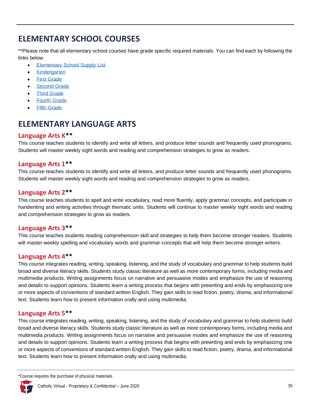# <span id="page-36-0"></span>**ELEMENTARY SCHOOL COURSES**

\*\*Please note that all elementary school courses have grade specific required materials. You can find each by following the links below.

- [Elementary School Supply List](https://accelerate.education/wp-content/uploads/2017/04/MaterialsElementarySupplies.pdf)
- **[Kindergarten](https://accelerate.education/wp-content/uploads/2017/04/MaterialsGradeK.pdf)**
- **[First Grade](https://accelerate.education/wp-content/uploads/2017/04/MaterialsGrade1.pdf)**
- [Second Grade](https://accelerate.education/wp-content/uploads/2017/04/MaterialsGrade2.pdf)
- **[Third Grade](https://accelerate.education/wp-content/uploads/2017/04/MaterialsGrade3.pdf)**
- **[Fourth Grade](https://accelerate.education/wp-content/uploads/2019/07/MaterialsGrade4.pdf)**
- **[Fifth Grade](https://accelerate.education/wp-content/uploads/2019/07/MaterialsGrade5.pdf)**

# <span id="page-36-1"></span>**ELEMENTARY LANGUAGE ARTS**

# **Language Arts K\*\***

This course teaches students to identify and write all letters, and produce letter sounds and frequently used phonograms. Students will master weekly sight words and reading and comprehension strategies to grow as readers.

# **Language Arts 1\*\***

This course teaches students to identify and write all letters, and produce letter sounds and frequently used phonograms. Students will master weekly sight words and reading and comprehension strategies to grow as readers.

# **Language Arts 2\*\***

This course teaches students to spell and write vocabulary, read more fluently, apply grammar concepts, and participate in handwriting and writing activities through thematic units. Students will continue to master weekly sight words and reading and comprehension strategies to grow as readers.

# **Language Arts 3\*\***

This course teaches students reading comprehension skill and strategies to help them become stronger readers. Students will master weekly spelling and vocabulary words and grammar concepts that will help them become stronger writers.

# **Language Arts 4\*\***

This course integrates reading, writing, speaking, listening, and the study of vocabulary and grammar to help students build broad and diverse literacy skills. Students study classic literature as well as more contemporary forms, including media and multimedia products. Writing assignments focus on narrative and persuasive modes and emphasize the use of reasoning and details to support opinions. Students learn a writing process that begins with prewriting and ends by emphasizing one or more aspects of conventions of standard written English. They gain skills to read fiction, poetry, drama, and informational text. Students learn how to present information orally and using multimedia.

# **Language Arts 5\*\***

This course integrates reading, writing, speaking, listening, and the study of vocabulary and grammar to help students build broad and diverse literacy skills. Students study classic literature as well as more contemporary forms, including media and multimedia products. Writing assignments focus on narrative and persuasive modes and emphasize the use of reasoning and details to support opinions. Students learn a writing process that begins with prewriting and ends by emphasizing one or more aspects of conventions of standard written English. They gain skills to read fiction, poetry, drama, and informational text. Students learn how to present information orally and using multimedia.

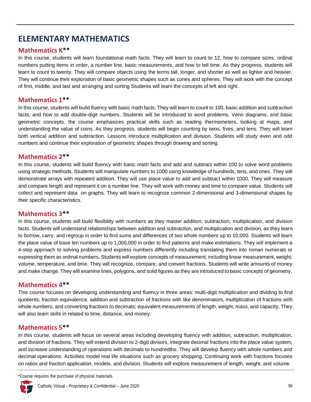# <span id="page-37-0"></span>**ELEMENTARY MATHEMATICS**

# **Mathematics K\*\***

In this course, students will learn foundational math facts. They will learn to count to 12, how to compare sizes, ordinal numbers putting items in order, a number line, basic measurements, and how to tell time. As they progress, students will learn to count to twenty. They will compare objects using the terms tall, longer, and shorter as well as lighter and heavier. They will continue their exploration of basic geometric shapes such as cones and spheres. They will work with the concept of first, middle, and last and arranging and sorting Students will learn the concepts of left and right.

#### **Mathematics 1\*\***

In this course, students will build fluency with basic math facts. They will learn to count to 100, basic addition and subtraction facts, and how to add double-digit numbers. Students will be introduced to word problems, Venn diagrams, and basic geometric concepts. the course emphasizes practical skills such as reading thermometers, looking at maps, and understanding the value of coins. As they progress, students will begin counting by twos, fives, and tens. They will learn both vertical addition and subtraction. Lessons introduce multiplication and division. Students will study even and odd numbers and continue their exploration of geometric shapes through drawing and sorting.

### **Mathematics 2\*\***

In this course, students will build fluency with basic math facts and add and subtract within 100 to solve word problems using strategic methods. Students will manipulate numbers to 1000 using knowledge of hundreds, tens, and ones. They will demonstrate arrays with repeated addition. They will use place value to add and subtract within 1000. They will measure and compare length and represent it on a number line. They will work with money and time to compare value. Students will collect and represent data on graphs. They will learn to recognize common 2-dimensional and 3-dimensional shapes by their specific characteristics.

# **Mathematics 3\*\***

In this course, students will build flexibility with numbers as they master addition, subtraction, multiplication, and division facts. Students will understand relationships between addition and subtraction, and multiplication and division, as they learn to borrow, carry, and regroup in order to find sums and differences of two whole numbers up to 10,000. Students will learn the place value of base ten numbers up to 1,000,000 in order to find patterns and make estimations. They will implement a 4-step approach to solving problems and express numbers differently including translating them into roman numerals or expressing them as ordinal numbers. Students will explore concepts of measurement, including linear measurement, weight, volume, temperature, and time. They will recognize, compare, and convert fractions. Students will write amounts of money and make change. They will examine lines, polygons, and solid figures as they are introduced to basic concepts of geometry.

# **Mathematics 4\*\***

This course focuses on developing understanding and fluency in three areas: multi-digit multiplication and dividing to find quotients; fraction equivalence, addition and subtraction of fractions with like denominators, multiplication of fractions with whole numbers, and converting fractions to decimals; equivalent measurements of length, weight, mass, and capacity. They will also learn skills in related to time, distance, and money.

# **Mathematics 5\*\***

In this course, students will focus on several areas including developing fluency with addition, subtraction, multiplication, and division of fractions. They will extend division to 2-digit divisors, integrate decimal fractions into the place value system, and increase understanding of operations with decimals to hundredths. They will develop fluency with whole numbers and decimal operations. Activities model real life situations such as grocery shopping. Continuing work with fractions focuses on ratios and fraction application, models, and division. Students will explore measurement of length, weight, and volume.

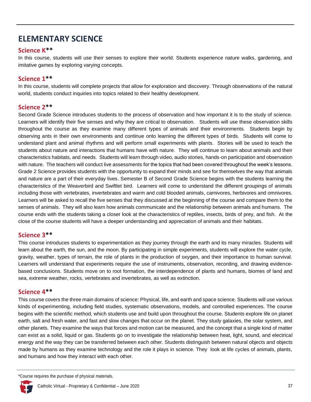# <span id="page-38-0"></span>**ELEMENTARY SCIENCE**

# **Science K\*\***

In this course, students will use their senses to explore their world. Students experience nature walks, gardening, and imitative games by exploring varying concepts.

# **Science 1\*\***

In this course, students will complete projects that allow for exploration and discovery. Through observations of the natural world, students conduct inquiries into topics related to their healthy development.

### **Science 2\*\***

Second Grade Science introduces students to the process of observation and how important it is to the study of science. Learners will identify their five senses and why they are critical to observation. Students will use these observation skills throughout the course as they examine many different types of animals and their environments. Students begin by observing ants in their own environments and continue onto learning the different types of birds. Students will come to understand plant and animal rhythms and will perform small experiments with plants. Stories will be used to teach the students about nature and interactions that humans have with nature. They will continue to learn about animals and their characteristics habitats, and needs. Students will learn through video, audio stories, hands-on participation and observation with nature. The teachers will conduct live assessments for the topics that had been covered throughout the week's lessons. Grade 2 Science provides students with the opportunity to expand their minds and see for themselves the way that animals and nature are a part of their everyday lives. Semester B of Second Grade Science begins with the students learning the characteristics of the Weaverbird and Swiftlet bird. Learners will come to understand the different groupings of animals including those with vertebrates, invertebrates and warm and cold blooded animals, carnivores, herbivores and omnivores. Learners will be asked to recall the five senses that they discussed at the beginning of the course and compare them to the senses of animals. They will also learn how animals communicate and the relationship between animals and humans. The course ends with the students taking a closer look at the characteristics of reptiles, insects, birds of prey, and fish. At the close of the course students will have a deeper understanding and appreciation of animals and their habitats.

#### **Science 3\*\***

This course introduces students to experimentation as they journey through the earth and its many miracles. Students will learn about the earth, the sun, and the moon. By participating in simple experiments, students will explore the water cycle, gravity, weather, types of terrain, the role of plants in the production of oxygen, and their importance to human survival. Learners will understand that experiments require the use of instruments, observation, recording, and drawing evidencebased conclusions. Students move on to root formation, the interdependence of plants and humans, biomes of land and sea, extreme weather, rocks, vertebrates and invertebrates, as well as extinction.

#### **Science 4\*\***

This course covers the three main domains of science: Physical, life, and earth and space science. Students will use various kinds of experimenting, including field studies, systematic observations, models, and controlled experiences. The course begins with the scientific method, which students use and build upon throughout the course. Students explore life on planet earth, salt and fresh water, and fast and slow changes that occur on the planet. They study galaxies, the solar system, and other planets. They examine the ways that forces and motion can be measured, and the concept that a single kind of matter can exist as a solid, liquid or gas. Students go on to investigate the relationship between heat, light, sound, and electrical energy and the way they can be transferred between each other. Students distinguish between natural objects and objects made by humans as they examine technology and the role it plays in science. They look at life cycles of animals, plants, and humans and how they interact with each other.

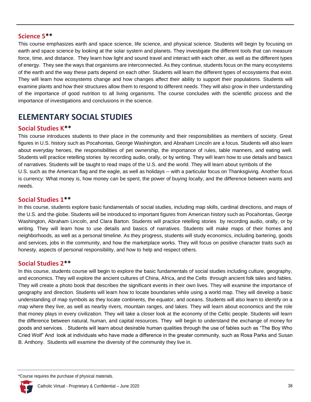#### **Science 5\*\***

This course emphasizes earth and space science, life science, and physical science. Students will begin by focusing on earth and space science by looking at the solar system and planets. They investigate the different tools that can measure force, time, and distance. They learn how light and sound travel and interact with each other, as well as the different types of energy. They see the ways that organisms are interconnected. As they continue, students focus on the many ecosystems of the earth and the way these parts depend on each other. Students will learn the different types of ecosystems that exist. They will learn how ecosystems change and how changes affect their ability to support their populations. Students will examine plants and how their structures allow them to respond to different needs. They will also grow in their understanding of the importance of good nutrition to all living organisms. The course concludes with the scientific process and the importance of investigations and conclusions in the science.

# <span id="page-39-0"></span>**ELEMENTARY SOCIAL STUDIES**

#### **Social Studies K\*\***

This course introduces students to their place in the community and their responsibilities as members of society. Great figures in U.S. history such as Pocahontas, George Washington, and Abraham Lincoln are a focus. Students will also learn about everyday heroes, the responsibilities of pet ownership, the importance of rules, table manners, and eating well. Students will practice retelling stories by recording audio, orally, or by writing. They will learn how to use details and basics of narratives. Students will be taught to read maps of the U.S. and the world. They will learn about symbols of the U.S. such as the American flag and the eagle, as well as holidays -- with a particular focus on Thanksgiving. Another focus is currency: What money is, how money can be spent, the power of buying locally, and the difference between wants and needs.

#### **Social Studies 1\*\***

In this course, students explore basic fundamentals of social studies, including map skills, cardinal directions, and maps of the U.S. and the globe. Students will be introduced to important figures from American history such as Pocahontas, George Washington, Abraham Lincoln, and Clara Barton. Students will practice retelling stories by recording audio, orally, or by writing. They will learn how to use details and basics of narratives. Students will make maps of their homes and neighborhoods, as well as a personal timeline. As they progress, students will study economics, including bartering, goods and services, jobs in the community, and how the marketplace works. They will focus on positive character traits such as honesty, aspects of personal responsibility, and how to help and respect others.

#### **Social Studies 2\*\***

In this course, students course will begin to explore the basic fundamentals of social studies including culture, geography, and economics. They will explore the ancient cultures of China, Africa, and the Celts through ancient folk tales and fables. They will create a photo book that describes the significant events in their own lives. They will examine the importance of geography and direction. Students will learn how to locate boundaries while using a world map. They will develop a basic understanding of map symbols as they locate continents, the equator, and oceans. Students will also learn to identify on a map where they live, as well as nearby rivers, mountain ranges, and lakes. They will learn about economics and the role that money plays in every civilization. They will take a closer look at the economy of the Celtic people. Students will learn the difference between natural, human, and capital resources. They will begin to understand the exchange of money for goods and services. . Students will learn about desirable human qualities through the use of fables such as "The Boy Who Cried Wolf" And look at individuals who have made a difference in the greater community, such as Rosa Parks and Susan B. Anthony. Students will examine the diversity of the community they live in.

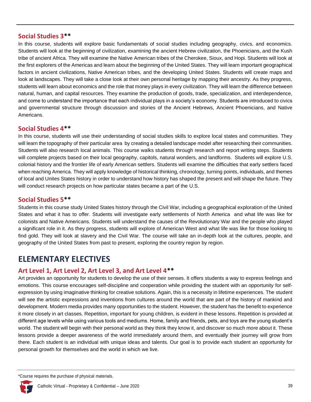#### **Social Studies 3\*\***

In this course, students will explore basic fundamentals of social studies including geography, civics, and economics. Students will look at the beginning of civilization, examining the ancient Hebrew civilization, the Phoenicians, and the Kush tribe of ancient Africa. They will examine the Native American tribes of the Cherokee, Sioux, and Hopi. Students will look at the first explorers of the Americas and learn about the beginning of the United States. They will learn important geographical factors in ancient civilizations, Native American tribes, and the developing United States. Students will create maps and look at landscapes. They will take a close look at their own personal heritage by mapping their ancestry. As they progress, students will learn about economics and the role that money plays in every civilization. They will learn the difference between natural, human, and capital resources. They examine the production of goods, trade, specialization, and interdependence, and come to understand the importance that each individual plays in a society's economy. Students are introduced to civics and governmental structure through discussion and stories of the Ancient Hebrews, Ancient Phoenicians, and Native Americans.

#### **Social Studies 4\*\***

In this course, students will use their understanding of social studies skills to explore local states and communities. They will learn the topography of their particular area by creating a detailed landscape model after researching their communities. Students will also research local animals. This course walks students through research and report writing steps. Students will complete projects based on their local geography, capitols, natural wonders, and landforms. Students will explore U.S. colonial history and the frontier life of early American settlers. Students will examine the difficulties that early settlers faced when reaching America. They will apply knowledge of historical thinking, chronology, turning points, individuals, and themes of local and Unites States history in order to understand how history has shaped the present and will shape the future. They will conduct research projects on how particular states became a part of the U.S.

#### **Social Studies 5\*\***

Students in this course study United States history through the Civil War, including a geographical exploration of the United States and what it has to offer. Students will investigate early settlements of North America and what life was like for colonists and Native Americans. Students will understand the causes of the Revolutionary War and the people who played a significant role in it. As they progress, students will explore of American West and what life was like for those looking to find gold. They will look at slavery and the Civil War. The course will take an in-depth look at the cultures, people, and geography of the United States from past to present, exploring the country region by region.

# <span id="page-40-0"></span>**ELEMENTARY ELECTIVES**

#### **Art Level 1, Art Level 2, Art Level 3, and Art Level 4\*\***

Art provides an opportunity for students to develop the use of their senses. It offers students a way to express feelings and emotions. This course encourages self-discipline and cooperation while providing the student with an opportunity for selfexpression by using imaginative thinking for creative solutions. Again, this is a necessity in lifetime experiences. The student will see the artistic expressions and inventions from cultures around the world that are part of the history of mankind and development. Modern media provides many opportunities to the student. However, the student has the benefit to experience it more closely in art classes. Repetition, important for young children, is evident in these lessons. Repetition is provided at different age levels while using various tools and mediums. Home, family and friends, pets, and toys are the young student's world. The student will begin with their personal world as they think they know it, and discover so much more about it. These lessons provide a deeper awareness of the world immediately around them, and eventually their journey will grow from there. Each student is an individual with unique ideas and talents. Our goal is to provide each student an opportunity for personal growth for themselves and the world in which we live.

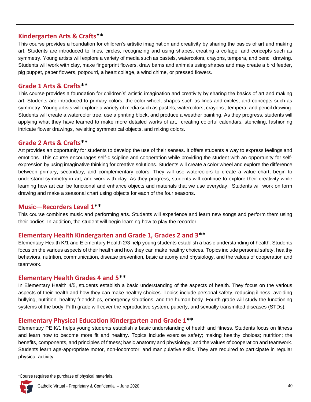### **Kindergarten Arts & Crafts\*\***

This course provides a foundation for children's artistic imagination and creativity by sharing the basics of art and making art. Students are introduced to lines, circles, recognizing and using shapes, creating a collage, and concepts such as symmetry. Young artists will explore a variety of media such as pastels, watercolors, crayons, tempera, and pencil drawing. Students will work with clay, make fingerprint flowers, draw barns and animals using shapes and may create a bird feeder, pig puppet, paper flowers, potpourri, a heart collage, a wind chime, or pressed flowers.

#### **Grade 1 Arts & Crafts\*\***

This course provides a foundation for children's' artistic imagination and creativity by sharing the basics of art and making art. Students are introduced to primary colors, the color wheel, shapes such as lines and circles, and concepts such as symmetry. Young artists will explore a variety of media such as pastels, watercolors, crayons , tempera, and pencil drawing. Students will create a watercolor tree, use a printing block, and produce a weather painting. As they progress, students will applying what they have learned to make more detailed works of art, creating colorful calendars, stenciling, fashioning intricate flower drawings, revisiting symmetrical objects, and mixing colors.

### **Grade 2 Arts & Crafts\*\***

Art provides an opportunity for students to develop the use of their senses. It offers students a way to express feelings and emotions. This course encourages self-discipline and cooperation while providing the student with an opportunity for selfexpression by using imaginative thinking for creative solutions. Students will create a color wheel and explore the difference between primary, secondary, and complementary colors. They will use watercolors to create a value chart, begin to understand symmetry in art, and work with clay. As they progress, students will continue to explore their creativity while learning how art can be functional and enhance objects and materials that we use everyday. Students will work on form drawing and make a seasonal chart using objects for each of the four seasons.

#### **Music—Recorders Level 1\*\***

This course combines music and performing arts. Students will experience and learn new songs and perform them using their bodies. In addition, the student will begin learning how to play the recorder.

#### **Elementary Health Kindergarten and Grade 1, Grades 2 and 3\*\***

Elementary Health K/1 and Elementary Health 2/3 help young students establish a basic understanding of health. Students focus on the various aspects of their health and how they can make healthy choices. Topics include personal safety, healthy behaviors, nutrition, communication, disease prevention, basic anatomy and physiology, and the values of cooperation and teamwork.

#### **Elementary Health Grades 4 and 5\*\***

In Elementary Health 4/5, students establish a basic understanding of the aspects of health. They focus on the various aspects of their health and how they can make healthy choices. Topics include personal safety, reducing illness, avoiding bullying, nutrition, healthy friendships, emergency situations, and the human body. Fourth grade will study the functioning systems of the body. Fifth grade will cover the reproductive system, puberty, and sexually transmitted diseases (STDs).

#### **Elementary Physical Education Kindergarten and Grade 1\*\***

Elementary PE K/1 helps young students establish a basic understanding of health and fitness. Students focus on fitness and learn how to become more fit and healthy. Topics include exercise safety; making healthy choices; nutrition; the benefits, components, and principles of fitness; basic anatomy and physiology; and the values of cooperation and teamwork. Students learn age-appropriate motor, non-locomotor, and manipulative skills. They are required to participate in regular physical activity.

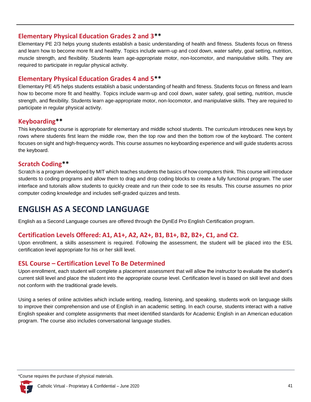#### **Elementary Physical Education Grades 2 and 3\*\***

Elementary PE 2/3 helps young students establish a basic understanding of health and fitness. Students focus on fitness and learn how to become more fit and healthy. Topics include warm-up and cool down, water safety, goal setting, nutrition, muscle strength, and flexibility. Students learn age-appropriate motor, non-locomotor, and manipulative skills. They are required to participate in regular physical activity.

### **Elementary Physical Education Grades 4 and 5\*\***

Elementary PE 4/5 helps students establish a basic understanding of health and fitness. Students focus on fitness and learn how to become more fit and healthy. Topics include warm-up and cool down, water safety, goal setting, nutrition, muscle strength, and flexibility. Students learn age-appropriate motor, non-locomotor, and manipulative skills. They are required to participate in regular physical activity.

# **Keyboarding\*\***

This keyboarding course is appropriate for elementary and middle school students. The curriculum introduces new keys by rows where students first learn the middle row, then the top row and then the bottom row of the keyboard. The content focuses on sight and high-frequency words. This course assumes no keyboarding experience and will guide students across the keyboard.

### **Scratch Coding\*\***

Scratch is a program developed by MIT which teaches students the basics of how computers think. This course will introduce students to coding programs and allow them to drag and drop coding blocks to create a fully functional program. The user interface and tutorials allow students to quickly create and run their code to see its results. This course assumes no prior computer coding knowledge and includes self-graded quizzes and tests.

# <span id="page-42-0"></span>**ENGLISH AS A SECOND LANGUAGE**

English as a Second Language courses are offered through the DynEd Pro English Certification program.

# **Certification Levels Offered: A1, A1+, A2, A2+, B1, B1+, B2, B2+, C1, and C2.**

Upon enrollment, a skills assessment is required. Following the assessment, the student will be placed into the ESL certification level appropriate for his or her skill level.

# **ESL Course – Certification Level To Be Determined**

Upon enrollment, each student will complete a placement assessment that will allow the instructor to evaluate the student's current skill level and place the student into the appropriate course level. Certification level is based on skill level and does not conform with the traditional grade levels.

Using a series of online activities which include writing, reading, listening, and speaking, students work on language skills to improve their comprehension and use of English in an academic setting. In each course, students interact with a native English speaker and complete assignments that meet identified standards for Academic English in an American education program. The course also includes conversational language studies.

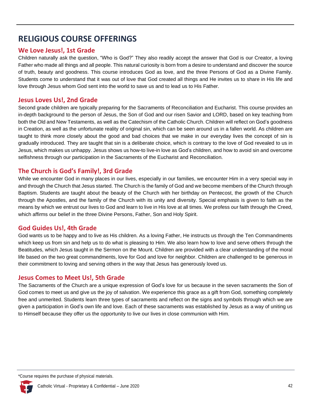# <span id="page-43-0"></span>**RELIGIOUS COURSE OFFERINGS**

# **We Love Jesus!, 1st Grade**

Children naturally ask the question, "Who is God?" They also readily accept the answer that God is our Creator, a loving Father who made all things and all people. This natural curiosity is born from a desire to understand and discover the source of truth, beauty and goodness. This course introduces God as love, and the three Persons of God as a Divine Family. Students come to understand that it was out of love that God created all things and He invites us to share in His life and love through Jesus whom God sent into the world to save us and to lead us to His Father.

#### **Jesus Loves Us!, 2nd Grade**

Second grade children are typically preparing for the Sacraments of Reconciliation and Eucharist. This course provides an in-depth background to the person of Jesus, the Son of God and our risen Savior and LORD, based on key teaching from both the Old and New Testaments, as well as the Catechism of the Catholic Church. Children will reflect on God's goodness in Creation, as well as the unfortunate reality of original sin, which can be seen around us in a fallen world. As children are taught to think more closely about the good and bad choices that we make in our everyday lives the concept of sin is gradually introduced. They are taught that sin is a deliberate choice, which is contrary to the love of God revealed to us in Jesus, which makes us unhappy. Jesus shows us how-to live-in love as God's children, and how to avoid sin and overcome selfishness through our participation in the Sacraments of the Eucharist and Reconciliation.

# **The Church is God's Family!, 3rd Grade**

While we encounter God in many places in our lives, especially in our families, we encounter Him in a very special way in and through the Church that Jesus started. The Church is the family of God and we become members of the Church through Baptism. Students are taught about the beauty of the Church with her birthday on Pentecost, the growth of the Church through the Apostles, and the family of the Church with its unity and diversity. Special emphasis is given to faith as the means by which we entrust our lives to God and learn to live in His love at all times. We profess our faith through the Creed, which affirms our belief in the three Divine Persons, Father, Son and Holy Spirit.

# **God Guides Us!, 4th Grade**

God wants us to be happy and to live as His children. As a loving Father, He instructs us through the Ten Commandments which keep us from sin and help us to do what is pleasing to Him. We also learn how to love and serve others through the Beatitudes, which Jesus taught in the Sermon on the Mount. Children are provided with a clear understanding of the moral life based on the two great commandments, love for God and love for neighbor. Children are challenged to be generous in their commitment to loving and serving others in the way that Jesus has generously loved us.

#### **Jesus Comes to Meet Us!, 5th Grade**

The Sacraments of the Church are a unique expression of God's love for us because in the seven sacraments the Son of God comes to meet us and give us the joy of salvation. We experience this grace as a gift from God, something completely free and unmerited. Students learn three types of sacraments and reflect on the signs and symbols through which we are given a participation in God's own life and love. Each of these sacraments was established by Jesus as a way of uniting us to Himself because they offer us the opportunity to live our lives in close communion with Him.

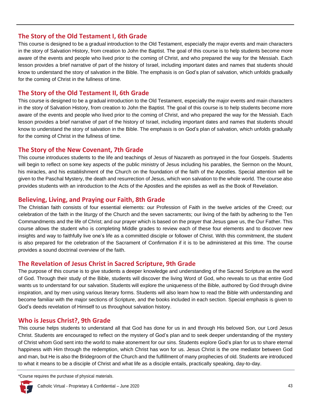#### **The Story of the Old Testament I, 6th Grade**

This course is designed to be a gradual introduction to the Old Testament, especially the major events and main characters in the story of Salvation History, from creation to John the Baptist. The goal of this course is to help students become more aware of the events and people who lived prior to the coming of Christ, and who prepared the way for the Messiah. Each lesson provides a brief narrative of part of the history of Israel, including important dates and names that students should know to understand the story of salvation in the Bible. The emphasis is on God's plan of salvation, which unfolds gradually for the coming of Christ in the fullness of time.

#### **The Story of the Old Testament II, 6th Grade**

This course is designed to be a gradual introduction to the Old Testament, especially the major events and main characters in the story of Salvation History, from creation to John the Baptist. The goal of this course is to help students become more aware of the events and people who lived prior to the coming of Christ, and who prepared the way for the Messiah. Each lesson provides a brief narrative of part of the history of Israel, including important dates and names that students should know to understand the story of salvation in the Bible. The emphasis is on God's plan of salvation, which unfolds gradually for the coming of Christ in the fullness of time.

### **The Story of the New Covenant, 7th Grade**

This course introduces students to the life and teachings of Jesus of Nazareth as portrayed in the four Gospels. Students will begin to reflect on some key aspects of the public ministry of Jesus including his parables, the Sermon on the Mount, his miracles, and his establishment of the Church on the foundation of the faith of the Apostles. Special attention will be given to the Paschal Mystery, the death and resurrection of Jesus, which won salvation to the whole world. The course also provides students with an introduction to the Acts of the Apostles and the epistles as well as the Book of Revelation.

#### **Believing, Living, and Praying our Faith, 8th Grade**

The Christian faith consists of four essential elements: our Profession of Faith in the twelve articles of the Creed; our celebration of the faith in the liturgy of the Church and the seven sacraments; our living of the faith by adhering to the Ten Commandments and the life of Christ; and our prayer which is based on the prayer that Jesus gave us, the Our Father. This course allows the student who is completing Middle grades to review each of these four elements and to discover new insights and way to faithfully live one's life as a committed disciple or follower of Christ. With this commitment, the student is also prepared for the celebration of the Sacrament of Confirmation if it is to be administered at this time. The course provides a sound doctrinal overview of the faith.

# **The Revelation of Jesus Christ in Sacred Scripture, 9th Grade**

The purpose of this course is to give students a deeper knowledge and understanding of the Sacred Scripture as the word of God. Through their study of the Bible, students will discover the living Word of God, who reveals to us that entire God wants us to understand for our salvation. Students will explore the uniqueness of the Bible, authored by God through divine inspiration, and by men using various literary forms. Students will also learn how to read the Bible with understanding and become familiar with the major sections of Scripture, and the books included in each section. Special emphasis is given to God's deeds revelation of Himself to us throughout salvation history.

# **Who is Jesus Christ?, 9th Grade**

This course helps students to understand all that God has done for us in and through His beloved Son, our Lord Jesus Christ. Students are encouraged to reflect on the mystery of God's plan and to seek deeper understanding of the mystery of Christ whom God sent into the world to make atonement for our sins. Students explore God's plan for us to share eternal happiness with Him through the redemption, which Christ has won for us. Jesus Christ is the one mediator between God and man, but He is also the Bridegroom of the Church and the fulfillment of many prophecies of old. Students are introduced to what it means to be a disciple of Christ and what life as a disciple entails, practically speaking, day-to-day.

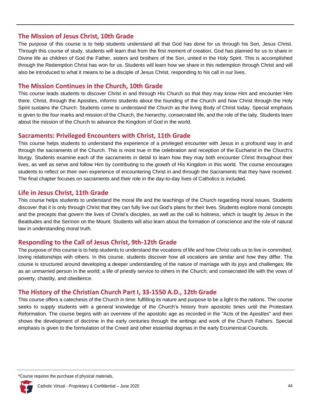#### **The Mission of Jesus Christ, 10th Grade**

The purpose of this course is to help students understand all that God has done for us through his Son, Jesus Christ. Through this course of study, students will learn that from the first moment of creation, God has planned for us to share in Divine life as children of God the Father, sisters and brothers of the Son, united in the Holy Spirit. This is accomplished through the Redemption Christ has won for us. Students will learn how we share in this redemption through Christ and will also be introduced to what it means to be a disciple of Jesus Christ, responding to his call in our lives.

#### **The Mission Continues in the Church, 10th Grade**

This course leads students to discover Christ in and through His Church so that they may know Him and encounter Him there. Christ, through the Apostles, informs students about the founding of the Church and how Christ through the Holy Spirit sustains the Church. Students come to understand the Church as the living Body of Christ today. Special emphasis is given to the four marks and mission of the Church, the hierarchy, consecrated life, and the role of the laity. Students learn about the mission of the Church to advance the Kingdom of God in the world.

### **Sacraments: Privileged Encounters with Christ, 11th Grade**

This course helps students to understand the experience of a privileged encounter with Jesus in a profound way in and through the sacraments of the Church. This is most true in the celebration and reception of the Eucharist in the Church's liturgy. Students examine each of the sacraments in detail to learn how they may both encounter Christ throughout their lives, as well as serve and follow Him by contributing to the growth of His Kingdom in this world. The course encourages students to reflect on their own experience of encountering Christ in and through the Sacraments that they have received. The final chapter focuses on sacraments and their role in the day-to-day lives of Catholics is included.

# **Life in Jesus Christ, 11th Grade**

This course helps students to understand the moral life and the teachings of the Church regarding moral issues. Students discover that it is only through Christ that they can fully live out God's plans for their lives. Students explore moral concepts and the precepts that govern the lives of Christ's disciples, as well as the call to holiness, which is taught by Jesus in the Beatitudes and the Sermon on the Mount. Students will also learn about the formation of conscience and the role of natural law in understanding moral truth.

# **Responding to the Call of Jesus Christ, 9th-12th Grade**

The purpose of this course is to help students to understand the vocations of life and how Christ calls us to live in committed, loving relationships with others. In this course, students discover how all vocations are similar and how they differ. The course is structured around developing a deeper understanding of the nature of marriage with its joys and challenges; life as an unmarried person in the world; a life of priestly service to others in the Church; and consecrated life with the vows of poverty, chastity, and obedience.

# **The History of the Christian Church Part I, 33-1550 A.D., 12th Grade**

This course offers a catechesis of the Church in time: fulfilling its nature and purpose to be a light to the nations. The course seeks to supply students with a general knowledge of the Church's history from apostolic times until the Protestant Reformation. The course begins with an overview of the apostolic age as recorded in the "Acts of the Apostles" and then shows the development of doctrine in the early centuries through the writings and work of the Church Fathers. Special emphasis is given to the formulation of the Creed and other essential dogmas in the early Ecumenical Councils.